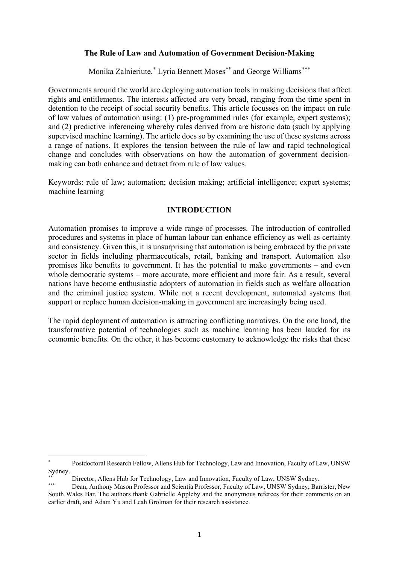## **The Rule of Law and Automation of Government Decision-Making**

Monika Zalnieriute,[\\*](#page-0-0) Lyria Bennett Moses[\\*\\*](#page-0-1) and George Williams[\\*\\*\\*](#page-0-2)

Governments around the world are deploying automation tools in making decisions that affect rights and entitlements. The interests affected are very broad, ranging from the time spent in detention to the receipt of social security benefits. This article focusses on the impact on rule of law values of automation using: (1) pre-programmed rules (for example, expert systems); and (2) predictive inferencing whereby rules derived from are historic data (such by applying supervised machine learning). The article does so by examining the use of these systems across a range of nations. It explores the tension between the rule of law and rapid technological change and concludes with observations on how the automation of government decisionmaking can both enhance and detract from rule of law values.

Keywords: rule of law; automation; decision making; artificial intelligence; expert systems; machine learning

## **INTRODUCTION**

Automation promises to improve a wide range of processes. The introduction of controlled procedures and systems in place of human labour can enhance efficiency as well as certainty and consistency. Given this, it is unsurprising that automation is being embraced by the private sector in fields including pharmaceuticals, retail, banking and transport. Automation also promises like benefits to government. It has the potential to make governments – and even whole democratic systems – more accurate, more efficient and more fair. As a result, several nations have become enthusiastic adopters of automation in fields such as welfare allocation and the criminal justice system. While not a recent development, automated systems that support or replace human decision-making in government are increasingly being used.

The rapid deployment of automation is attracting conflicting narratives. On the one hand, the transformative potential of technologies such as machine learning has been lauded for its economic benefits. On the other, it has become customary to acknowledge the risks that these

<span id="page-0-0"></span>Postdoctoral Research Fellow, Allens Hub for Technology, Law and Innovation, Faculty of Law, UNSW Sydney.

<span id="page-0-1"></span><sup>\*\*</sup> Director, Allens Hub for Technology, Law and Innovation, Faculty of Law, UNSW Sydney.

<span id="page-0-2"></span>Dean, Anthony Mason Professor and Scientia Professor, Faculty of Law, UNSW Sydney; Barrister, New South Wales Bar. The authors thank Gabrielle Appleby and the anonymous referees for their comments on an earlier draft, and Adam Yu and Leah Grolman for their research assistance.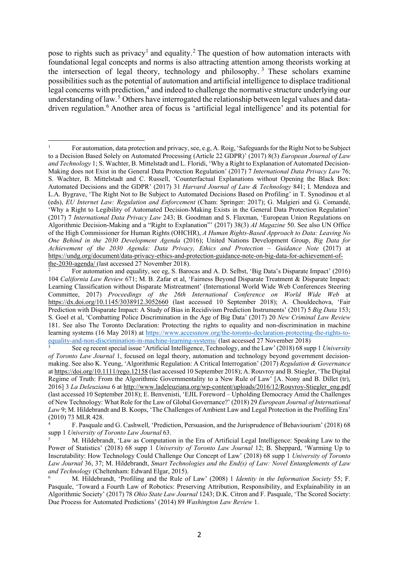pose to rights such as privacy<sup>[1](#page-1-0)</sup> and equality.<sup>[2](#page-1-1)</sup> The question of how automation interacts with foundational legal concepts and norms is also attracting attention among theorists working at the intersection of legal theory, technology and philosophy. [3](#page-1-2) These scholars examine possibilities such as the potential of automation and artificial intelligence to displace traditional legal concerns with prediction,<sup>[4](#page-1-3)</sup> and indeed to challenge the normative structure underlying our understanding of law.<sup>[5](#page-1-4)</sup> Others have interrogated the relationship between legal values and datadriven regulation.[6](#page-1-5) Another area of focus is 'artificial legal intelligence' and its potential for

<span id="page-1-6"></span><span id="page-1-0"></span> <sup>1</sup> For automation, data protection and privacy, see, e.g, A. Roig, 'Safeguards for the Right Not to be Subject to a Decision Based Solely on Automated Processing (Article 22 GDPR)' (2017) 8(3) *European Journal of Law and Technology* 1; S. Wachter, B. Mittelstadt and L. Floridi, 'Why a Right to Explanation of Automated Decision-Making does not Exist in the General Data Protection Regulation' (2017) 7 *International Data Privacy Law* 76; S. Wachter, B. Mittelstadt and C. Russell, 'Counterfactual Explanations without Opening the Black Box: Automated Decisions and the GDPR' (2017) 31 *Harvard Journal of Law & Technology* 841; I. Mendoza and L.A. Bygrave, 'The Right Not to Be Subject to Automated Decisions Based on Profiling' in T. Synodinou et al (eds), *EU Internet Law: Regulation and Enforcement* (Cham: Springer: 2017); G. Malgieri and G. Comandé, 'Why a Right to Legibility of Automated Decision-Making Exists in the General Data Protection Regulation' (2017) 7 *International Data Privacy Law* 243; B. Goodman and S. Flaxman, 'European Union Regulations on Algorithmic Decision-Making and a "Right to Explanation"' (2017) 38(3) *AI Magazine* 50. See also UN Office of the High Commissioner for Human Rights (OHCHR), *A Human Rights-Based Approach to Data: Leaving No One Behind in the 2030 Development Agenda* (2016); United Nations Development Group, *Big Data for Achievement of the 2030 Agenda: Data Privacy, Ethics and Protection – Guidance Note* (2017) at https://undg.org/document/data-privacy-ethics-and-protection-guidance-note-on-big-data-for-achievement-ofthe-2030-agenda/ (last accessed 27 November 2018).

<span id="page-1-1"></span><sup>2</sup> For automation and equality, see eg, S. Barocas and A. D. Selbst, 'Big Data's Disparate Impact' (2016) 104 *California Law Review* 671; M. B. Zafar et al, 'Fairness Beyond Disparate Treatment & Disparate Impact: Learning Classification without Disparate Mistreatment' (International World Wide Web Conferences Steering Committee, 2017) *Proceedings of the 26th International Conference on World Wide Web* at https://dx.doi.org/10.1145/3038912.3052660 (last accessed 10 September 2018); A. Chouldechova, 'Fair Prediction with Disparate Impact: A Study of Bias in Recidivism Prediction Instruments' (2017) 5 *Big Data* 153; S. Goel et al, 'Combatting Police Discrimination in the Age of Big Data' (2017) 20 *New Criminal Law Review* 181. See also The Toronto Declaration: Protecting the rights to equality and non-discrimination in machine learning systems (16 May 2018) at [https://www.accessnow.org/the-toronto-declaration-protecting-the-rights-to](https://www.accessnow.org/the-toronto-declaration-protecting-the-rights-to-equality-and-non-discrimination-in-machine-learning-systems/)[equality-and-non-discrimination-in-machine-learning-systems/](https://www.accessnow.org/the-toronto-declaration-protecting-the-rights-to-equality-and-non-discrimination-in-machine-learning-systems/)(last accessed 27 November 2018)

<span id="page-1-2"></span><sup>3</sup> See eg recent special issue 'Artificial Intelligence, Technology, and the Law' (2018) 68 supp 1 *University of Toronto Law Journal* 1, focused on legal theory, automation and technology beyond government decisionmaking. See also K. Yeung, 'Algorithmic Regulation: A Critical Interrogation' (2017) *Regulation & Governance* at https://doi.org/10.1111/rego.12158 (last accessed 10 September 2018); A. Rouvroy and B. Stiegler, 'The Digital Regime of Truth: From the Algorithmic Governmentality to a New Rule of Law' [A. Nony and B. Dillet (tr), 2016] 3 *La Deleuziana* 6 at http://www.ladeleuziana.org/wp-content/uploads/2016/12/Rouvroy-Stiegler\_eng.pdf (last accessed 10 September 2018); E. Benvenisti, 'EJIL Foreword – Upholding Democracy Amid the Challenges of New Technology: What Role for the Law of Global Governance?' (2018) 29 *European Journal of International Law* 9; M. Hildebrandt and B. Koops, 'The Challenges of Ambient Law and Legal Protection in the Profiling Era' (2010) 73 MLR 428.

<span id="page-1-3"></span><sup>4</sup> F. Pasquale and G. Cashwell, 'Prediction, Persuasion, and the Jurisprudence of Behaviourism' (2018) 68 supp 1 *University of Toronto Law Journal* 63.

<span id="page-1-4"></span><sup>5</sup> M. Hildebrandt, 'Law as Computation in the Era of Artificial Legal Intelligence: Speaking Law to the Power of Statistics' (2018) 68 supp 1 *University of Toronto Law Journal* 12; B. Sheppard, 'Warming Up to Inscrutability: How Technology Could Challenge Our Concept of Law' (2018) 68 supp 1 *University of Toronto Law Journal* 36, 37; M. Hildebrandt, *Smart Technologies and the End(s) of Law: Novel Entanglements of Law and Technology* (Cheltenham: Edward Elgar, 2015).

<span id="page-1-5"></span><sup>6</sup> M. Hildebrandt, 'Profiling and the Rule of Law' (2008) 1 *Identity in the Information Society* 55; F. Pasquale, 'Toward a Fourth Law of Robotics: Preserving Attribution, Responsibility, and Explainability in an Algorithmic Society' (2017) 78 *Ohio State Law Journal* 1243; D.K. Citron and F. Pasquale, 'The Scored Society: Due Process for Automated Predictions' (2014) 89 *Washington Law Review* 1.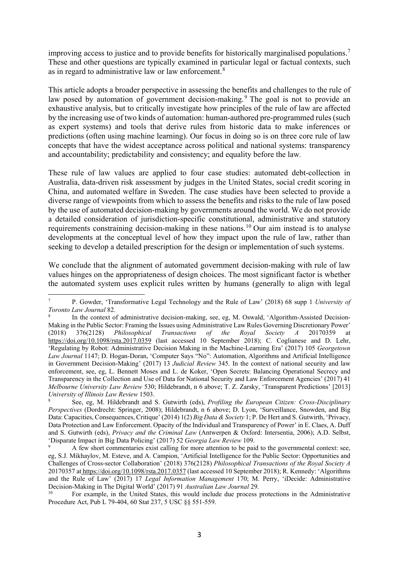<span id="page-2-4"></span>improving access to justice and to provide benefits for historically marginalised populations.<sup>[7](#page-2-0)</sup> These and other questions are typically examined in particular legal or factual contexts, such as in regard to administrative law or law enforcement.[8](#page-2-1)

This article adopts a broader perspective in assessing the benefits and challenges to the rule of law posed by automation of government decision-making.<sup>[9](#page-2-2)</sup> The goal is not to provide an exhaustive analysis, but to critically investigate how principles of the rule of law are affected by the increasing use of two kinds of automation: human-authored pre-programmed rules (such as expert systems) and tools that derive rules from historic data to make inferences or predictions (often using machine learning). Our focus in doing so is on three core rule of law concepts that have the widest acceptance across political and national systems: transparency and accountability; predictability and consistency; and equality before the law*.*

These rule of law values are applied to four case studies: automated debt-collection in Australia, data-driven risk assessment by judges in the United States, social credit scoring in China, and automated welfare in Sweden. The case studies have been selected to provide a diverse range of viewpoints from which to assess the benefits and risks to the rule of law posed by the use of automated decision-making by governments around the world. We do not provide a detailed consideration of jurisdiction-specific constitutional, administrative and statutory requirements constraining decision-making in these nations.<sup>[10](#page-2-3)</sup> Our aim instead is to analyse developments at the conceptual level of how they impact upon the rule of law, rather than seeking to develop a detailed prescription for the design or implementation of such systems.

We conclude that the alignment of automated government decision-making with rule of law values hinges on the appropriateness of design choices. The most significant factor is whether the automated system uses explicit rules written by humans (generally to align with legal

<span id="page-2-0"></span> <sup>7</sup> P. Gowder, 'Transformative Legal Technology and the Rule of Law' (2018) 68 supp 1 *University of Toronto Law Journal* 82.

<span id="page-2-1"></span><sup>8</sup> In the context of administrative decision-making, see, eg, M. Oswald, 'Algorithm-Assisted Decision-Making in the Public Sector: Framing the Issues using Administrative Law Rules Governing Discretionary Power'<br>
(2018) 376(2128) Philosophical Transactions of the Roval Society A 20170359 at (2018) 376(2128) *Philosophical Transactions of the Royal Society A* 20170359 at https://doi.org/10.1098/rsta.2017.0359 (last accessed 10 September 2018); C. Coglianese and D. Lehr, 'Regulating by Robot: Administrative Decision Making in the Machine-Learning Era' (2017) 105 *Georgetown Law Journal* 1147; D. Hogan-Doran, 'Computer Says "No": Automation, Algorithms and Artificial Intelligence in Government Decision-Making' (2017) 13 *Judicial Review* 345. In the context of national security and law enforcement, see, eg, L. Bennett Moses and L. de Koker, 'Open Secrets: Balancing Operational Secrecy and Transparency in the Collection and Use of Data for National Security and Law Enforcement Agencies' (2017) 41 *Melbourne University Law Review* 530; Hildebrandt, n [6](#page-1-6) above; T. Z. Zarsky, 'Transparent Predictions' [2013] *University of Illinois Law Review* 1503.

<sup>8</sup> See, eg, M. Hildebrandt and S. Gutwirth (eds), *Profiling the European Citizen: Cross-Disciplinary Perspectives* (Dordrecht: Springer, 2008); Hildebrandt, n [6](#page-1-6) above; D. Lyon, 'Surveillance, Snowden, and Big Data: Capacities, Consequences, Critique' (2014) 1(2) *Big Data & Society* 1; P. De Hert and S. Gutwirth, 'Privacy, Data Protection and Law Enforcement. Opacity of the Individual and Transparency of Power' in E. Claes, A. Duff and S. Gutwirth (eds), *Privacy and the Criminal Law* (Antwerpen & Oxford: Intersentia, 2006); A.D. Selbst, 'Disparate Impact in Big Data Policing' (2017) 52 *Georgia Law Review* 109.

<span id="page-2-2"></span><sup>9</sup> A few short commentaries exist calling for more attention to be paid to the governmental context: see, eg, S.J. Mikhaylov, M. Esteve, and A. Campion, 'Artificial Intelligence for the Public Sector: Opportunities and Challenges of Cross-sector Collaboration' (2018) 376(2128) *Philosophical Transactions of the Royal Society A* 20170357 at https://doi.org/10.1098/rsta.2017.0357 (last accessed 10 September 2018); R. Kennedy: 'Algorithms and the Rule of Law' (2017) 17 *Legal Information Management* 170; M. Perry, 'iDecide: Administrative Decision-Making in The Digital World' (2017) 91 *Australian Law Journal* 29.

<span id="page-2-3"></span><sup>10</sup> For example, in the United States, this would include due process protections in the Administrative Procedure Act, Pub L 79-404, 60 Stat 237, 5 USC §§ 551-559.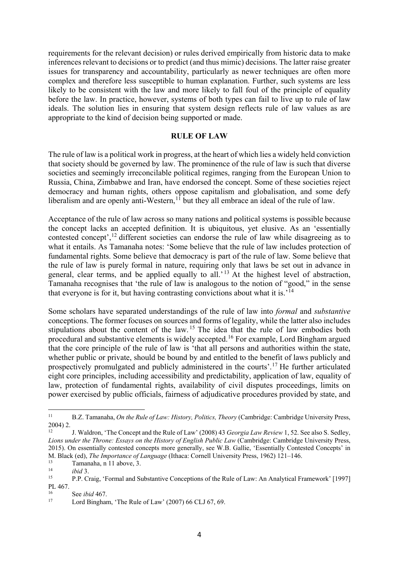requirements for the relevant decision) or rules derived empirically from historic data to make inferences relevant to decisions or to predict (and thus mimic) decisions. The latter raise greater issues for transparency and accountability, particularly as newer techniques are often more complex and therefore less susceptible to human explanation. Further, such systems are less likely to be consistent with the law and more likely to fall foul of the principle of equality before the law. In practice, however, systems of both types can fail to live up to rule of law ideals. The solution lies in ensuring that system design reflects rule of law values as are appropriate to the kind of decision being supported or made.

#### <span id="page-3-8"></span>**RULE OF LAW**

The rule of law is a political work in progress, at the heart of which lies a widely held conviction that society should be governed by law. The prominence of the rule of law is such that diverse societies and seemingly irreconcilable political regimes, ranging from the European Union to Russia, China, Zimbabwe and Iran, have endorsed the concept. Some of these societies reject democracy and human rights, others oppose capitalism and globalisation, and some defy liberalism and are openly anti-Western,<sup>[11](#page-3-0)</sup> but they all embrace an ideal of the rule of law.

Acceptance of the rule of law across so many nations and political systems is possible because the concept lacks an accepted definition. It is ubiquitous, yet elusive. As an 'essentially contested concept',  $^{12}$  $^{12}$  $^{12}$  different societies can endorse the rule of law while disagreeing as to what it entails. As Tamanaha notes: 'Some believe that the rule of law includes protection of fundamental rights. Some believe that democracy is part of the rule of law. Some believe that the rule of law is purely formal in nature, requiring only that laws be set out in advance in general, clear terms, and be applied equally to all.<sup>[13](#page-3-2)</sup> At the highest level of abstraction, Tamanaha recognises that 'the rule of law is analogous to the notion of "good," in the sense that everyone is for it, but having contrasting convictions about what it is.<sup> $14$ </sup>

Some scholars have separated understandings of the rule of law into *formal* and *substantive* conceptions. The former focuses on sources and forms of legality, while the latter also includes stipulations about the content of the law. [15](#page-3-4) The idea that the rule of law embodies both procedural and substantive elements is widely accepted.[16](#page-3-5) For example, Lord Bingham argued that the core principle of the rule of law is 'that all persons and authorities within the state, whether public or private, should be bound by and entitled to the benefit of laws publicly and prospectively promulgated and publicly administered in the courts'.[17](#page-3-6) He further articulated eight core principles, including accessibility and predictability, application of law, equality of law, protection of fundamental rights, availability of civil disputes proceedings, limits on power exercised by public officials, fairness of adjudicative procedures provided by state, and

<span id="page-3-7"></span><span id="page-3-0"></span> <sup>11</sup> B.Z. Tamanaha, *On the Rule of Law: History, Politics, Theory* (Cambridge: Cambridge University Press,  $2004$ ) 2.

<span id="page-3-1"></span><sup>12</sup> J. Waldron, 'The Concept and the Rule of Law' (2008) 43 *Georgia Law Review* 1, 52. See also S. Sedley, *Lions under the Throne: Essays on the History of English Public Law* (Cambridge: Cambridge University Press, 2015). On essentially contested concepts more generally, see W.B. Gallie, 'Essentially Contested Concepts' in M. Black (ed), *The Importance of Language* (Ithaca: Cornell University Press, 1962) 121–146.

<span id="page-3-2"></span> $\begin{array}{cc}\n 13 \\
 14\n \end{array}$  Tamanaha, n 11 above, 3.

<span id="page-3-3"></span> $14$  *ibid* 3.

<span id="page-3-4"></span><sup>15</sup> P.P. Craig, 'Formal and Substantive Conceptions of the Rule of Law: An Analytical Framework' [1997] PL 467.

<span id="page-3-6"></span><span id="page-3-5"></span><sup>&</sup>lt;sup>16</sup> See *ibid* 467.

Lord Bingham, 'The Rule of Law' (2007) 66 CLJ 67, 69.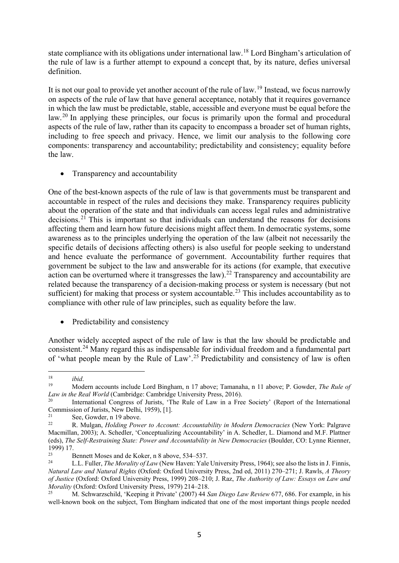state compliance with its obligations under international law.[18](#page-4-1) Lord Bingham's articulation of the rule of law is a further attempt to expound a concept that, by its nature, defies universal definition.

<span id="page-4-0"></span>It is not our goal to provide yet another account of the rule of law.<sup>[19](#page-4-2)</sup> Instead, we focus narrowly on aspects of the rule of law that have general acceptance, notably that it requires governance in which the law must be predictable, stable, accessible and everyone must be equal before the law.<sup>[20](#page-4-3)</sup> In applying these principles, our focus is primarily upon the formal and procedural aspects of the rule of law, rather than its capacity to encompass a broader set of human rights, including to free speech and privacy. Hence, we limit our analysis to the following core components: transparency and accountability; predictability and consistency; equality before the law.

• Transparency and accountability

One of the best-known aspects of the rule of law is that governments must be transparent and accountable in respect of the rules and decisions they make. Transparency requires publicity about the operation of the state and that individuals can access legal rules and administrative decisions.<sup>[21](#page-4-4)</sup> This is important so that individuals can understand the reasons for decisions affecting them and learn how future decisions might affect them. In democratic systems, some awareness as to the principles underlying the operation of the law (albeit not necessarily the specific details of decisions affecting others) is also useful for people seeking to understand and hence evaluate the performance of government. Accountability further requires that government be subject to the law and answerable for its actions (for example, that executive action can be overturned where it transgresses the law).<sup>[22](#page-4-5)</sup> Transparency and accountability are related because the transparency of a decision-making process or system is necessary (but not sufficient) for making that process or system accountable.<sup>[23](#page-4-6)</sup> This includes accountability as to compliance with other rule of law principles, such as equality before the law.

<span id="page-4-10"></span><span id="page-4-9"></span>Predictability and consistency

Another widely accepted aspect of the rule of law is that the law should be predictable and consistent.[24](#page-4-7) Many regard this as indispensable for individual freedom and a fundamental part of 'what people mean by the Rule of Law'.[25](#page-4-8) Predictability and consistency of law is often

<span id="page-4-1"></span> $\frac{18}{19}$  *ibid.* 

<span id="page-4-2"></span><sup>19</sup> Modern accounts include Lord Bingham, n [17](#page-3-7) above; Tamanaha, n [11](#page-3-8) above; P. Gowder, *The Rule of Law in the Real World* (Cambridge: Cambridge University Press, 2016).<br><sup>20</sup> **Laternational Congress of Junista**, 'The Puls of Law in a Fra

<span id="page-4-3"></span>International Congress of Jurists, 'The Rule of Law in a Free Society' (Report of the International Commission of Jurists, New Delhi, 1959), [1].

<span id="page-4-4"></span><sup>&</sup>lt;sup>21</sup> See, Gowder, [n 19](#page-4-0) above.<br><sup>22</sup> R. Mulgan, *Holding Pows* 

<span id="page-4-5"></span><sup>22</sup> R. Mulgan, *Holding Power to Account: Accountability in Modern Democracies* (New York: Palgrave Macmillan, 2003); A. Schedler, 'Conceptualizing Accountability' in A. Schedler, L. Diamond and M.F. Plattner (eds), *The Self-Restraining State: Power and Accountability in New Democracies* (Boulder, CO: Lynne Rienner,  $\frac{1999}{23}$  17.

<span id="page-4-6"></span><sup>&</sup>lt;sup>23</sup> Bennett Moses and de Koker, n [8](#page-2-4) above, 534–537.<br><sup>24</sup> I J. Fuller *The Morality of Law* (New Hayen: Yale

<span id="page-4-7"></span><sup>24</sup> L.L. Fuller, *The Morality of Law* (New Haven: Yale University Press, 1964); see also the lists in J. Finnis, *Natural Law and Natural Rights* (Oxford: Oxford University Press, 2nd ed, 2011) 270–271; J. Rawls, *A Theory of Justice* (Oxford: Oxford University Press, 1999) 208–210; J. Raz, *The Authority of Law: Essays on Law and Morality* (Oxford: Oxford University Press, 1979) 214–218.<br><sup>25</sup> M. Schwarzschild, 'Keeping it Private' (2007) 44 *San Diego Law Review* 677, 686. For example, in his

<span id="page-4-8"></span>well-known book on the subject, Tom Bingham indicated that one of the most important things people needed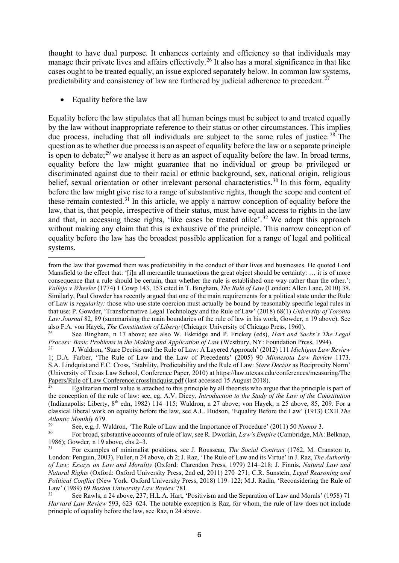thought to have dual purpose. It enhances certainty and efficiency so that individuals may manage their private lives and affairs effectively.<sup>[26](#page-5-0)</sup> It also has a moral significance in that like cases ought to be treated equally, an issue explored separately below. In common law systems, predictability and consistency of law are furthered by judicial adherence to precedent*.* [27](#page-5-1)

• Equality before the law

Equality before the law stipulates that all human beings must be subject to and treated equally by the law without inappropriate reference to their status or other circumstances. This implies due process, including that all individuals are subject to the same rules of justice.<sup>[28](#page-5-2)</sup> The question as to whether due process is an aspect of equality before the law or a separate principle is open to debate; $^{29}$  $^{29}$  $^{29}$  we analyse it here as an aspect of equality before the law. In broad terms, equality before the law might guarantee that no individual or group be privileged or discriminated against due to their racial or ethnic background, sex, national origin, religious belief, sexual orientation or other irrelevant personal characteristics.<sup>[30](#page-5-4)</sup> In this form, equality before the law might give rise to a range of substantive rights, though the scope and content of these remain contested.<sup>[31](#page-5-5)</sup> In this article, we apply a narrow conception of equality before the law, that is, that people, irrespective of their status, must have equal access to rights in the law and that, in accessing these rights, 'like cases be treated alike'.<sup>[32](#page-5-6)</sup> We adopt this approach without making any claim that this is exhaustive of the principle. This narrow conception of equality before the law has the broadest possible application for a range of legal and political systems.

<span id="page-5-3"></span><sup>29</sup> See, e.g, J. Waldron, 'The Rule of Law and the Importance of Procedure' (2011) 50 *Nomos* 3.<br><sup>30</sup> Early product the September of the of law see B. Ducatin, *Law's Empire (Combridge MA*)

from the law that governed them was predictability in the conduct of their lives and businesses. He quoted Lord Mansfield to the effect that: '[i]n all mercantile transactions the great object should be certainty: … it is of more consequence that a rule should be certain, than whether the rule is established one way rather than the other.': *Vallejo v Wheeler* (1774) 1 Cowp 143, 153 cited in T. Bingham, *The Rule of Law* (London: Allen Lane, 2010) 38. Similarly, Paul Gowder has recently argued that one of the main requirements for a political state under the Rule of Law is *regularity:* those who use state coercion must actually be bound by reasonably specific legal rules in that use: P. Gowder, 'Transformative Legal Technology and the Rule of Law' (2018) 68(1) *University of Toronto Law Journal* 82, 89 (summarising the main boundaries of the rule of law in his work, Gowder, n [19](#page-4-0) above). See also F.A. von Hayek, *The Constitution of Liberty* (Chicago: University of Chicago Press, 1960).<br><sup>26</sup> See Bingham, n 17 above; see also W. Eskridge and P. Frickey (eds), *Hart and Sacks's The Legal* 

<span id="page-5-0"></span>*Process: Basic Problems in the Making and Application of Law* (Westbury, NY: Foundation Press, 1994).<br><sup>27</sup> I Waldren 'Stare Desister 1:4 P. 1 . 27

<span id="page-5-1"></span><sup>27</sup> J. Waldron, 'Stare Decisis and the Rule of Law: A Layered Approach' (2012) 111 *Michigan Law Review* 1; D.A. Farber, 'The Rule of Law and the Law of Precedents' (2005) 90 *Minnesota Law Review* 1173. S.A. Lindquist and F.C. Cross, 'Stability, Predictability and the Rule of Law: *Stare Decisis* as Reciprocity Norm' (University of Texas Law School, Conference Paper, 2010) at https://law.utexas.edu/conferences/measuring/The Papers/Rule of Law Conference.crosslindquist.pdf (last accessed 15 August 2018).

<span id="page-5-2"></span>Egalitarian moral value is attached to this principle by all theorists who argue that the principle is part of the conception of the rule of law: see, eg, A.V. Dicey, *Introduction to the Study of the Law of the Constitution* (Indianapolis: Liberty, 8<sup>th</sup> edn, 1982) 114–115; Waldron, n 27 above; von Hayek, n [25](#page-4-9) above, 85, 209. For a classical liberal work on equality before the law, see A.L. Hudson, 'Equality Before the Law' (1913) CXII *The Atlantic Monthly* 679.

<span id="page-5-4"></span><sup>30</sup> For broad, substantive accounts of rule of law, see R. Dworkin, *Law's Empire* (Cambridge, MA: Belknap, 1986); Gowder, n [19](#page-4-0) above, chs  $2-3$ .<br> $\frac{31}{2}$  For examples of minimalist

<span id="page-5-5"></span><sup>31</sup> For examples of minimalist positions, see J. Rousseau, *The Social Contract* (1762, M. Cranston tr, London: Penguin, 2003), Fuller, [n 24](#page-4-10) above, ch 2; J. Raz, 'The Rule of Law and its Virtue' in J. Raz, *The Authority of Law: Essays on Law and Morality* (Oxford: Clarendon Press, 1979) 214–218; J. Finnis, *Natural Law and Natural Rights* (Oxford: Oxford University Press, 2nd ed, 2011) 270–271; C.R. Sunstein, *Legal Reasoning and Political Conflict* (New York: Oxford University Press, 2018) 119–122; M.J. Radin, 'Reconsidering the Rule of Law' (1989) 69 *Boston University Law Review 7*81.<br><sup>32</sup> See Rawls, n 24 above, 237; H.L.A. Hart, 'Positivism and the Separation of Law and Morals' (1958) 71

<span id="page-5-6"></span>*Harvard Law Review* 593, 623–624. The notable exception is Raz, for whom, the rule of law does not include principle of equality before the law, see Raz, n 24 above.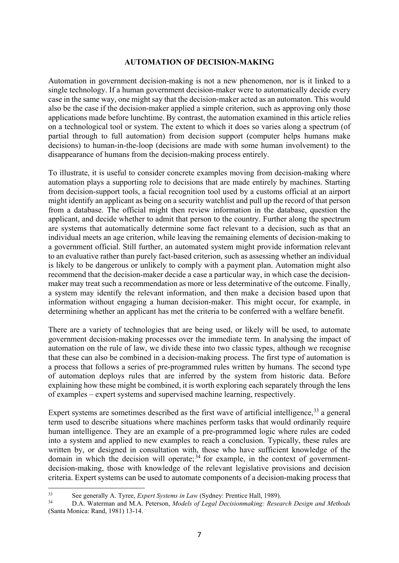#### **AUTOMATION OF DECISION-MAKING**

Automation in government decision-making is not a new phenomenon, nor is it linked to a single technology. If a human government decision-maker were to automatically decide every case in the same way, one might say that the decision-maker acted as an automaton. This would also be the case if the decision-maker applied a simple criterion, such as approving only those applications made before lunchtime. By contrast, the automation examined in this article relies on a technological tool or system. The extent to which it does so varies along a spectrum (of partial through to full automation) from decision support (computer helps humans make decisions) to human-in-the-loop (decisions are made with some human involvement) to the disappearance of humans from the decision-making process entirely.

To illustrate, it is useful to consider concrete examples moving from decision-making where automation plays a supporting role to decisions that are made entirely by machines. Starting from decision-support tools, a facial recognition tool used by a customs official at an airport might identify an applicant as being on a security watchlist and pull up the record of that person from a database. The official might then review information in the database, question the applicant, and decide whether to admit that person to the country. Further along the spectrum are systems that automatically determine some fact relevant to a decision, such as that an individual meets an age criterion, while leaving the remaining elements of decision-making to a government official. Still further, an automated system might provide information relevant to an evaluative rather than purely fact-based criterion, such as assessing whether an individual is likely to be dangerous or unlikely to comply with a payment plan. Automation might also recommend that the decision-maker decide a case a particular way, in which case the decisionmaker may treat such a recommendation as more or less determinative of the outcome. Finally, a system may identify the relevant information, and then make a decision based upon that information without engaging a human decision-maker. This might occur, for example, in determining whether an applicant has met the criteria to be conferred with a welfare benefit.

There are a variety of technologies that are being used, or likely will be used, to automate government decision-making processes over the immediate term. In analysing the impact of automation on the rule of law, we divide these into two classic types, although we recognise that these can also be combined in a decision-making process. The first type of automation is a process that follows a series of pre-programmed rules written by humans. The second type of automation deploys rules that are inferred by the system from historic data. Before explaining how these might be combined, it is worth exploring each separately through the lens of examples – expert systems and supervised machine learning, respectively.

Expert systems are sometimes described as the first wave of artificial intelligence,<sup>[33](#page-6-0)</sup> a general term used to describe situations where machines perform tasks that would ordinarily require human intelligence. They are an example of a pre-programmed logic where rules are coded into a system and applied to new examples to reach a conclusion. Typically, these rules are written by, or designed in consultation with, those who have sufficient knowledge of the domain in which the decision will operate;  $34$  for example, in the context of governmentdecision-making, those with knowledge of the relevant legislative provisions and decision criteria. Expert systems can be used to automate components of a decision-making process that

<span id="page-6-0"></span> <sup>33</sup> See generally A. Tyree, *Expert Systems in Law* (Sydney: Prentice Hall, 1989).

<span id="page-6-1"></span><sup>34</sup> D.A. Waterman and M.A. Peterson, *Models of Legal Decisionmaking: Research Design and Methods* (Santa Monica: Rand, 1981) 13-14.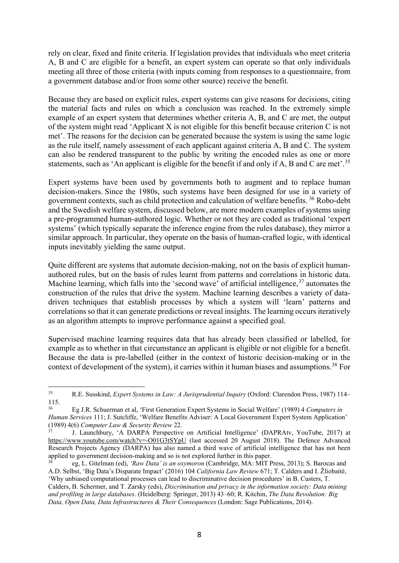rely on clear, fixed and finite criteria. If legislation provides that individuals who meet criteria A, B and C are eligible for a benefit, an expert system can operate so that only individuals meeting all three of those criteria (with inputs coming from responses to a questionnaire, from a government database and/or from some other source) receive the benefit.

Because they are based on explicit rules, expert systems can give reasons for decisions, citing the material facts and rules on which a conclusion was reached. In the extremely simple example of an expert system that determines whether criteria A, B, and C are met, the output of the system might read 'Applicant X is not eligible for this benefit because criterion C is not met'. The reasons for the decision can be generated because the system is using the same logic as the rule itself, namely assessment of each applicant against criteria A, B and C. The system can also be rendered transparent to the public by writing the encoded rules as one or more statements, such as 'An applicant is eligible for the benefit if and only if A, B and C are met'.<sup>[35](#page-7-0)</sup>

Expert systems have been used by governments both to augment and to replace human decision-makers. Since the 1980s, such systems have been designed for use in a variety of government contexts, such as child protection and calculation of welfare benefits. [36](#page-7-1) Robo-debt and the Swedish welfare system, discussed below, are more modern examples of systems using a pre-programmed human-authored logic. Whether or not they are coded as traditional 'expert systems' (which typically separate the inference engine from the rules database), they mirror a similar approach. In particular, they operate on the basis of human-crafted logic, with identical inputs inevitably yielding the same output.

Quite different are systems that automate decision-making, not on the basis of explicit humanauthored rules, but on the basis of rules learnt from patterns and correlations in historic data. Machine learning, which falls into the 'second wave' of artificial intelligence,<sup>[37](#page-7-2)</sup> automates the construction of the rules that drive the system. Machine learning describes a variety of datadriven techniques that establish processes by which a system will 'learn' patterns and correlations so that it can generate predictions or reveal insights. The learning occurs iteratively as an algorithm attempts to improve performance against a specified goal.

Supervised machine learning requires data that has already been classified or labelled, for example as to whether in that circumstance an applicant is eligible or not eligible for a benefit. Because the data is pre-labelled (either in the context of historic decision-making or in the context of development of the system), it carries within it human biases and assumptions.<sup>[38](#page-7-3)</sup> For

<span id="page-7-0"></span> <sup>35</sup> R.E. Susskind, *Expert Systems in Law: A Jurisprudential Inquiry* (Oxford: Clarendon Press, 1987) 114–  $\frac{115}{36}$ 

<span id="page-7-1"></span><sup>36</sup> Eg J.R. Schuerman et al, 'First Generation Expert Systems in Social Welfare' (1989) 4 *Computers in Human Services* 111; J. Sutcliffe, 'Welfare Benefits Adviser: A Local Government Expert System Application' (1989) 4(6) *Computer Law & Security Review* 22.

<span id="page-7-2"></span><sup>37</sup> J. Launchbury, 'A DARPA Perspective on Artificial Intelligence' (DAPRAtv, YouTube, 2017) at <https://www.youtube.com/watch?v=-O01G3tSYpU> (last accessed 20 August 2018). The Defence Advanced Research Projects Agency (DARPA) has also named a third wave of artificial intelligence that has not been applied to government decision-making and so is not explored further in this paper.

<span id="page-7-3"></span><sup>38</sup> eg, L. Gitelman (ed), *'Raw Data' is an oxymoron* (Cambridge, MA: MIT Press, 2013); S. Barocas and A.D. Selbst, 'Big Data's Disparate Impact' (2016) 104 *California Law Review* 671; T. Calders and I. Žliobaitė, 'Why unbiased computational processes can lead to discriminative decision procedures' in B. Custers, T. Calders, B. Schermer, and T. Zarsky (eds), *Discrimination and privacy in the information society: Data mining and profiling in large databases*. (Heidelberg: Springer, 2013) 43–60; R. Kitchin, *The Data Revolution: Big Data, Open Data, Data Infrastructures & Their Consequences* (London: Sage Publications, 2014).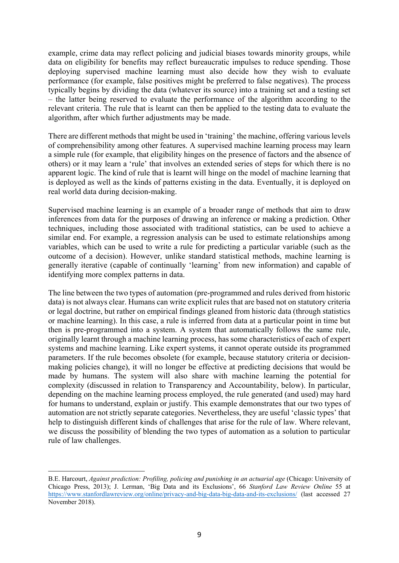example, crime data may reflect policing and judicial biases towards minority groups, while data on eligibility for benefits may reflect bureaucratic impulses to reduce spending. Those deploying supervised machine learning must also decide how they wish to evaluate performance (for example, false positives might be preferred to false negatives). The process typically begins by dividing the data (whatever its source) into a training set and a testing set – the latter being reserved to evaluate the performance of the algorithm according to the relevant criteria. The rule that is learnt can then be applied to the testing data to evaluate the algorithm, after which further adjustments may be made.

There are different methods that might be used in 'training' the machine, offering various levels of comprehensibility among other features. A supervised machine learning process may learn a simple rule (for example, that eligibility hinges on the presence of factors and the absence of others) or it may learn a 'rule' that involves an extended series of steps for which there is no apparent logic. The kind of rule that is learnt will hinge on the model of machine learning that is deployed as well as the kinds of patterns existing in the data. Eventually, it is deployed on real world data during decision-making.

Supervised machine learning is an example of a broader range of methods that aim to draw inferences from data for the purposes of drawing an inference or making a prediction. Other techniques, including those associated with traditional statistics, can be used to achieve a similar end. For example, a regression analysis can be used to estimate relationships among variables, which can be used to write a rule for predicting a particular variable (such as the outcome of a decision). However, unlike standard statistical methods, machine learning is generally iterative (capable of continually 'learning' from new information) and capable of identifying more complex patterns in data.

The line between the two types of automation (pre-programmed and rules derived from historic data) is not always clear. Humans can write explicit rules that are based not on statutory criteria or legal doctrine, but rather on empirical findings gleaned from historic data (through statistics or machine learning). In this case, a rule is inferred from data at a particular point in time but then is pre-programmed into a system. A system that automatically follows the same rule, originally learnt through a machine learning process, has some characteristics of each of expert systems and machine learning. Like expert systems, it cannot operate outside its programmed parameters. If the rule becomes obsolete (for example, because statutory criteria or decisionmaking policies change), it will no longer be effective at predicting decisions that would be made by humans. The system will also share with machine learning the potential for complexity (discussed in relation to Transparency and Accountability, below). In particular, depending on the machine learning process employed, the rule generated (and used) may hard for humans to understand, explain or justify. This example demonstrates that our two types of automation are not strictly separate categories. Nevertheless, they are useful 'classic types' that help to distinguish different kinds of challenges that arise for the rule of law. Where relevant, we discuss the possibility of blending the two types of automation as a solution to particular rule of law challenges.

B.E. Harcourt, *Against prediction: Profiling, policing and punishing in an actuarial age* (Chicago: University of Chicago Press, 2013); J. Lerman, 'Big Data and its Exclusions', 66 *Stanford Law Review Online* 55 at <https://www.stanfordlawreview.org/online/privacy-and-big-data-big-data-and-its-exclusions/> (last accessed 27 November 2018).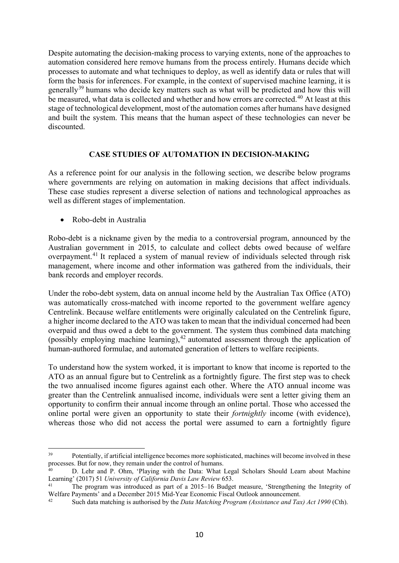Despite automating the decision-making process to varying extents, none of the approaches to automation considered here remove humans from the process entirely. Humans decide which processes to automate and what techniques to deploy, as well as identify data or rules that will form the basis for inferences. For example, in the context of supervised machine learning, it is generally[39](#page-9-0) humans who decide key matters such as what will be predicted and how this will be measured, what data is collected and whether and how errors are corrected.<sup>[40](#page-9-1)</sup> At least at this stage of technological development, most of the automation comes after humans have designed and built the system. This means that the human aspect of these technologies can never be discounted.

## **CASE STUDIES OF AUTOMATION IN DECISION-MAKING**

As a reference point for our analysis in the following section, we describe below programs where governments are relying on automation in making decisions that affect individuals. These case studies represent a diverse selection of nations and technological approaches as well as different stages of implementation.

• Robo-debt in Australia

Robo-debt is a nickname given by the media to a controversial program, announced by the Australian government in 2015, to calculate and collect debts owed because of welfare overpayment.[41](#page-9-2) It replaced a system of manual review of individuals selected through risk management, where income and other information was gathered from the individuals, their bank records and employer records.

Under the robo-debt system, data on annual income held by the Australian Tax Office (ATO) was automatically cross-matched with income reported to the government welfare agency Centrelink. Because welfare entitlements were originally calculated on the Centrelink figure, a higher income declared to the ATO was taken to mean that the individual concerned had been overpaid and thus owed a debt to the government. The system thus combined data matching (possibly employing machine learning),<sup>[42](#page-9-3)</sup> automated assessment through the application of human-authored formulae, and automated generation of letters to welfare recipients.

To understand how the system worked, it is important to know that income is reported to the ATO as an annual figure but to Centrelink as a fortnightly figure. The first step was to check the two annualised income figures against each other. Where the ATO annual income was greater than the Centrelink annualised income, individuals were sent a letter giving them an opportunity to confirm their annual income through an online portal. Those who accessed the online portal were given an opportunity to state their *fortnightly* income (with evidence), whereas those who did not access the portal were assumed to earn a fortnightly figure

<span id="page-9-0"></span><sup>&</sup>lt;sup>39</sup> Potentially, if artificial intelligence becomes more sophisticated, machines will become involved in these processes. But for now, they remain under the control of humans.

<span id="page-9-1"></span><sup>40</sup> D. Lehr and P. Ohm, 'Playing with the Data: What Legal Scholars Should Learn about Machine Learning' (2017) 51 *University of California Davis Law Review* 653.

<span id="page-9-2"></span>The program was introduced as part of a 2015–16 Budget measure, 'Strengthening the Integrity of Welfare Payments' and a December 2015 Mid-Year Economic Fiscal Outlook announcement.

<span id="page-9-3"></span><sup>42</sup> Such data matching is authorised by the *Data Matching Program (Assistance and Tax) Act 1990* (Cth).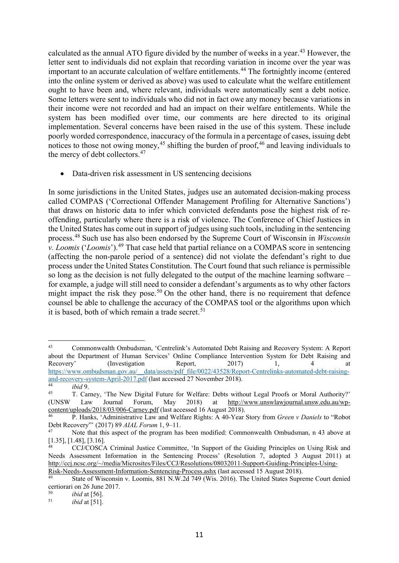<span id="page-10-0"></span>calculated as the annual ATO figure divided by the number of weeks in a year. [43](#page-10-1) However, the letter sent to individuals did not explain that recording variation in income over the year was important to an accurate calculation of welfare entitlements.<sup>[44](#page-10-2)</sup> The fortnightly income (entered into the online system or derived as above) was used to calculate what the welfare entitlement ought to have been and, where relevant, individuals were automatically sent a debt notice. Some letters were sent to individuals who did not in fact owe any money because variations in their income were not recorded and had an impact on their welfare entitlements. While the system has been modified over time, our comments are here directed to its original implementation. Several concerns have been raised in the use of this system. These include poorly worded correspondence, inaccuracy of the formula in a percentage of cases, issuing debt notices to those not owing money,  $45$  shifting the burden of proof,  $46$  and leaving individuals to the mercy of debt collectors.[47](#page-10-5)

• Data-driven risk assessment in US sentencing decisions

<span id="page-10-10"></span>In some jurisdictions in the United States, judges use an automated decision-making process called COMPAS ('Correctional Offender Management Profiling for Alternative Sanctions') that draws on historic data to infer which convicted defendants pose the highest risk of reoffending, particularly where there is a risk of violence. The Conference of Chief Justices in the United States has come out in support of judges using such tools, including in the sentencing process.[48](#page-10-6) Such use has also been endorsed by the Supreme Court of Wisconsin in *Wisconsin v. Loomis* ('*Loomis*'). [49](#page-10-7) That case held that partial reliance on a COMPAS score in sentencing (affecting the non-parole period of a sentence) did not violate the defendant's right to due process under the United States Constitution. The Court found that such reliance is permissible so long as the decision is not fully delegated to the output of the machine learning software – for example, a judge will still need to consider a defendant's arguments as to why other factors might impact the risk they pose.<sup>[50](#page-10-8)</sup> On the other hand, there is no requirement that defence counsel be able to challenge the accuracy of the COMPAS tool or the algorithms upon which it is based, both of which remain a trade secret.<sup>[51](#page-10-9)</sup>

<span id="page-10-1"></span> <sup>43</sup> Commonwealth Ombudsman, 'Centrelink's Automated Debt Raising and Recovery System: A Report about the Department of Human Services' Online Compliance Intervention System for Debt Raising and<br>Recovery' (Investigation Report, 2017) 1, 4 at Recovery' (Investigation Report, 2017) 1, 4 at [https://www.ombudsman.gov.au/\\_\\_data/assets/pdf\\_file/0022/43528/Report-Centrelinks-automated-debt-raising](https://www.ombudsman.gov.au/__data/assets/pdf_file/0022/43528/Report-Centrelinks-automated-debt-raising-and-recovery-system-April-2017.pdf)[and-recovery-system-April-2017.pdf](https://www.ombudsman.gov.au/__data/assets/pdf_file/0022/43528/Report-Centrelinks-automated-debt-raising-and-recovery-system-April-2017.pdf) (last accessed 27 November 2018).

<span id="page-10-3"></span><span id="page-10-2"></span>*ibid* 9.<br>
T. Carney, 'The New Digital Future for Welfare: Debts without Legal Proofs or Moral Authority?'<br>
(UNSW Law Journal Forum. May 2018) at http://www.unswlawiournal.unsw.edu.au/wp-(UNSW Law Journal Forum, May 2018) at http://www.unswlawjournal.unsw.edu.au/wpcontent/uploads/2018/03/006-Carney.pdf (last accessed 16 August 2018).

<span id="page-10-4"></span><sup>46</sup> P. Hanks, 'Administrative Law and Welfare Rights: A 40-Year Story from *Green v Daniels* to "Robot Debt Recovery"' (2017) 89 *AIAL Forum* 1, 9–11.

<span id="page-10-5"></span>Note that this aspect of the program has been modified: Commonwealth Ombudsman, n [43](#page-10-0) above at [1.35], [1.48], [3.16].

<span id="page-10-6"></span><sup>48</sup> CCJ/COSCA Criminal Justice Committee, 'In Support of the Guiding Principles on Using Risk and Needs Assessment Information in the Sentencing Process' (Resolution 7, adopted 3 August 2011) at http://ccj.ncsc.org/~/media/Microsites/Files/CCJ/Resolutions/08032011-Support-Guiding-Principles-Using-Risk-Needs-Assessment-Information-Sentencing-Process.ashx (last accessed 15 August 2018).

<span id="page-10-7"></span>State of Wisconsin v. Loomis, 881 N.W.2d 749 (Wis. 2016). The United States Supreme Court denied

certiorari on 26 June 2017.

<span id="page-10-9"></span><span id="page-10-8"></span> $^{50}$  *ibid* at [56].<br> $^{51}$  *ibid* at [51] *ibid* at [51].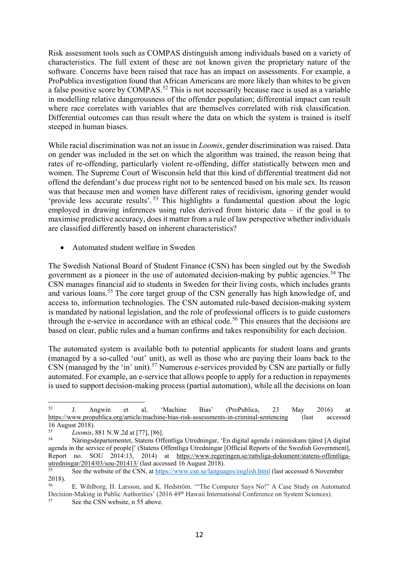<span id="page-11-7"></span>Risk assessment tools such as COMPAS distinguish among individuals based on a variety of characteristics. The full extent of these are not known given the proprietary nature of the software. Concerns have been raised that race has an impact on assessments. For example, a ProPublica investigation found that African Americans are more likely than whites to be given a false positive score by COMPAS.<sup>[52](#page-11-1)</sup> This is not necessarily because race is used as a variable in modelling relative dangerousness of the offender population; differential impact can result where race correlates with variables that are themselves correlated with risk classification. Differential outcomes can thus result where the data on which the system is trained is itself steeped in human biases.

While racial discrimination was not an issue in *Loomis*, gender discrimination was raised. Data on gender was included in the set on which the algorithm was trained, the reason being that rates of re-offending, particularly violent re-offending, differ statistically between men and women. The Supreme Court of Wisconsin held that this kind of differential treatment did not offend the defendant's due process right not to be sentenced based on his male sex. Its reason was that because men and women have different rates of recidivism, ignoring gender would 'provide less accurate results'. [53](#page-11-2) This highlights a fundamental question about the logic employed in drawing inferences using rules derived from historic data – if the goal is to maximise predictive accuracy, does it matter from a rule of law perspective whether individuals are classified differently based on inherent characteristics?

• Automated student welfare in Sweden

<span id="page-11-0"></span>The Swedish National Board of Student Finance (CSN) has been singled out by the Swedish government as a pioneer in the use of automated decision-making by public agencies.<sup>[54](#page-11-3)</sup> The CSN manages financial aid to students in Sweden for their living costs, which includes grants and various loans.<sup>[55](#page-11-4)</sup> The core target group of the CSN generally has high knowledge of, and access to, information technologies. The CSN automated rule-based decision-making system is mandated by national legislation, and the role of professional officers is to guide customers through the e-service in accordance with an ethical code.<sup>[56](#page-11-5)</sup> This ensures that the decisions are based on clear, public rules and a human confirms and takes responsibility for each decision.

The automated system is available both to potential applicants for student loans and grants (managed by a so-called 'out' unit), as well as those who are paying their loans back to the CSN (managed by the 'in' unit).<sup>[57](#page-11-6)</sup> Numerous e-services provided by CSN are partially or fully automated. For example, an e-service that allows people to apply for a reduction in repayments is used to support decision-making process (partial automation), while all the decisions on loan

<span id="page-11-1"></span> <sup>52</sup> J. Angwin et al, 'Machine Bias' (ProPublica, 23 May 2016) at https://www.propublica.org/article/machine-bias-risk-assessments-in-criminal-sentencing (last accessed  $16$  August 2018).

<span id="page-11-2"></span><sup>53</sup> *Loomis*, 881 N.W.2d at [77], [86].

<span id="page-11-3"></span><sup>54</sup> [Näringsdepartementet,](https://www.regeringen.se/tx/1291) Statens Offentliga Utredningar, 'En digital agenda i människans tjänst [A digital agenda in the service of people]' (Statens Offentliga Utredningar [Official Reports of the Swedish Government], Report no. SOU 2014:13, 2014) at https://www.regeringen.se/rattsliga-dokument/statens-offentliga-<br>utredningar/2014/03/sou-201413/ (last accessed 16 August 2018).

<span id="page-11-4"></span> $\frac{55}{20}$  See the website of the CSN, at<https://www.csn.se/languages/english.html> (last accessed 6 November  $2018$ ).

<span id="page-11-6"></span><span id="page-11-5"></span><sup>56</sup> E. Wihlborg, H. Larsson, and K. Hedström. '"The Computer Says No!" A Case Study on Automated Decision-Making in Public Authorities' (2016 49<sup>th</sup> Hawaii International Conference on System Sciences).<br><sup>57</sup> See the CSN website, n [55](#page-11-0) above.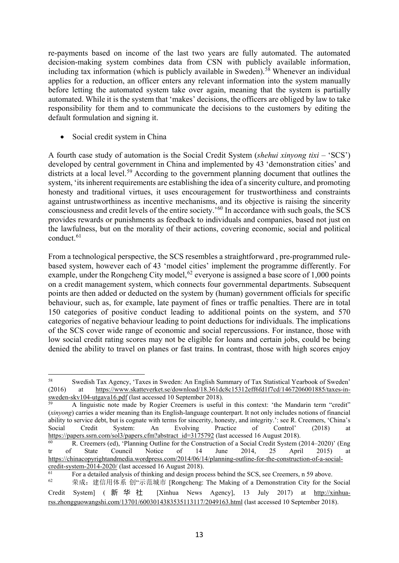re-payments based on income of the last two years are fully automated. The automated decision-making system combines data from CSN with publicly available information, including tax information (which is publicly available in Sweden).<sup>[58](#page-12-0)</sup> Whenever an individual applies for a reduction, an officer enters any relevant information into the system manually before letting the automated system take over again, meaning that the system is partially automated. While it is the system that 'makes' decisions, the officers are obliged by law to take responsibility for them and to communicate the decisions to the customers by editing the default formulation and signing it.

Social credit system in China

A fourth case study of automation is the Social Credit System (*shehui xinyong tixi* – 'SCS') developed by central government in China and implemented by 43 'demonstration cities' and districts at a local level.<sup>[59](#page-12-1)</sup> According to the government planning document that outlines the system, 'its inherent requirements are establishing the idea of a sincerity culture, and promoting honesty and traditional virtues, it uses encouragement for trustworthiness and constraints against untrustworthiness as incentive mechanisms, and its objective is raising the sincerity consciousness and credit levels of the entire society.'[60](#page-12-2) In accordance with such goals, the SCS provides rewards or punishments as feedback to individuals and companies, based not just on the lawfulness, but on the morality of their actions, covering economic, social and political conduct.<sup>[61](#page-12-3)</sup>

From a technological perspective, the SCS resembles a straightforward , pre-programmed rulebased system, however each of 43 'model cities' implement the programme differently. For example, under the Rongcheng City model,  $62$  everyone is assigned a base score of 1,000 points on a credit management system, which connects four governmental departments. Subsequent points are then added or deducted on the system by (human) government officials for specific behaviour, such as, for example, late payment of fines or traffic penalties. There are in total 150 categories of positive conduct leading to additional points on the system, and 570 categories of negative behaviour leading to point deductions for individuals. The implications of the SCS cover wide range of economic and social repercussions. For instance, those with low social credit rating scores may not be eligible for loans and certain jobs, could be being denied the ability to travel on planes or fast trains. In contrast, those with high scores enjoy

<span id="page-12-3"></span><sup>61</sup> For a detailed analysis of thinking and design process behind the SCS, see Creemers, n 59 above.

<span id="page-12-0"></span> <sup>58</sup> Swedish Tax Agency, 'Taxes in Sweden: An English Summary of Tax Statistical Yearbook of Sweden' (2016) at https://www.skatteverket.se/download/18.361dc8c15312eff6fd1f7cd/1467206001885/taxes-insweden-skv104-utgava16.pdf (last accessed 10 September 2018).

<span id="page-12-1"></span><sup>59</sup> A linguistic note made by Rogier Creemers is useful in this context: 'the Mandarin term "credit" (*xinyong*) carries a wider meaning than its English-language counterpart. It not only includes notions of financial ability to service debt, but is cognate with terms for sincerity, honesty, and integrity.': see R. Creemers, 'China's Social Credit System: An Evolving Practice of Control' (2018) at https://papers.ssrn.com/sol3/papers.cfm?abstract\_id=3175792 (last accessed 16 August 2018).

<span id="page-12-2"></span>R. Creemers (ed), 'Planning Outline for the Construction of a Social Credit System (2014–2020)' (Eng<br>of State Council Notice of 14 June 2014, 25 April 2015) at tr of State Council Notice of 14 June 2014, 25 April 2015) at https://chinacopyrightandmedia.wordpress.com/2014/06/14/planning-outline-for-the-construction-of-a-socialcredit-system-2014-2020/ (last accessed 16 August 2018).

<span id="page-12-4"></span>荣成: 建信用体系 创"示范城市 [Rongcheng: The Making of a Demonstration City for the Social Credit System] (新华社 [Xinhua News Agency], 13 July 2017) at http://xinhuarss.zhongguowangshi.com/13701/6003014383535113117/2049163.html (last accessed 10 September 2018).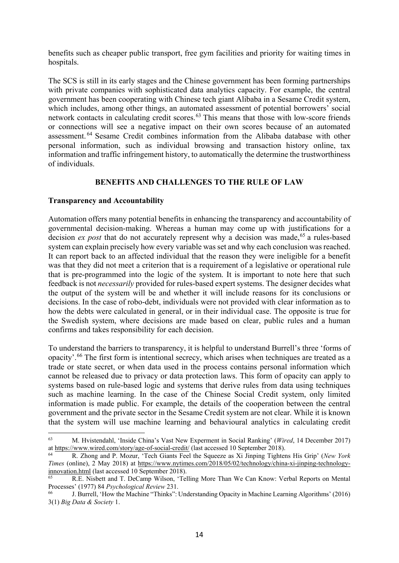benefits such as cheaper public transport, [free gym facilities](http://town.zjol.com.cn/cstts/201801/t20180110_6292357.shtml) and priority for waiting times in hospitals.

The SCS is still in its early stages and the Chinese government has been forming partnerships with private companies with sophisticated data analytics capacity. For example, the central government has been cooperating with Chinese tech giant Alibaba in a Sesame Credit system, which includes, among other things, an automated assessment of potential borrowers' social network contacts in calculating credit scores.<sup>[63](#page-13-0)</sup> This means that those with low-score friends or connections will see a negative impact on their own scores because of an automated assessment. [64](#page-13-1) Sesame Credit combines information from the Alibaba database with other personal information, such as individual browsing and transaction history online, tax information and traffic infringement history, to automatically the determine the trustworthiness of individuals.

## <span id="page-13-5"></span><span id="page-13-4"></span>**BENEFITS AND CHALLENGES TO THE RULE OF LAW**

## **Transparency and Accountability**

Automation offers many potential benefits in enhancing the transparency and accountability of governmental decision-making. Whereas a human may come up with justifications for a decision *ex post* that do not accurately represent why a decision was made,<sup>[65](#page-13-2)</sup> a rules-based system can explain precisely how every variable was set and why each conclusion was reached. It can report back to an affected individual that the reason they were ineligible for a benefit was that they did not meet a criterion that is a requirement of a legislative or operational rule that is pre-programmed into the logic of the system. It is important to note here that such feedback is not *necessarily* provided for rules-based expert systems. The designer decides what the output of the system will be and whether it will include reasons for its conclusions or decisions. In the case of robo-debt, individuals were not provided with clear information as to how the debts were calculated in general, or in their individual case. The opposite is true for the Swedish system, where decisions are made based on clear, public rules and a human confirms and takes responsibility for each decision.

To understand the barriers to transparency, it is helpful to understand Burrell's three 'forms of opacity'.[66](#page-13-3) The first form is intentional secrecy, which arises when techniques are treated as a trade or state secret, or when data used in the process contains personal information which cannot be released due to privacy or data protection laws. This form of opacity can apply to systems based on rule-based logic and systems that derive rules from data using techniques such as machine learning. In the case of the Chinese Social Credit system, only limited information is made public. For example, the details of the cooperation between the central government and the private sector in the Sesame Credit system are not clear. While it is known that the system will use machine learning and behavioural analytics in calculating credit

<span id="page-13-0"></span> <sup>63</sup> M. Hvistendahl, 'Inside China's Vast New Experment in Social Ranking' (*Wired*, 14 December 2017) a[t https://www.wired.com/story/age-of-social-credit/](https://www.wired.com/story/age-of-social-credit/) (last accessed 10 September 2018).

<span id="page-13-1"></span><sup>64</sup> R. Zhong and P. Mozur, 'Tech Giants Feel the Squeeze as Xi Jinping Tightens His Grip' (*New York Times* (online), 2 May 2018) at https://www.nytimes.com/2018/05/02/technology/china-xi-jinping-technologyinnovation.html (last accessed 10 September 2018).

<span id="page-13-2"></span><sup>65</sup> R.E. Nisbett and T. DeCamp Wilson, 'Telling More Than We Can Know: Verbal Reports on Mental Processes' (1977) 84 *Psychological Review* 231.

<span id="page-13-3"></span><sup>66</sup> J. Burrell, 'How the Machine "Thinks": Understanding Opacity in Machine Learning Algorithms' (2016) 3(1) *Big Data & Society* 1.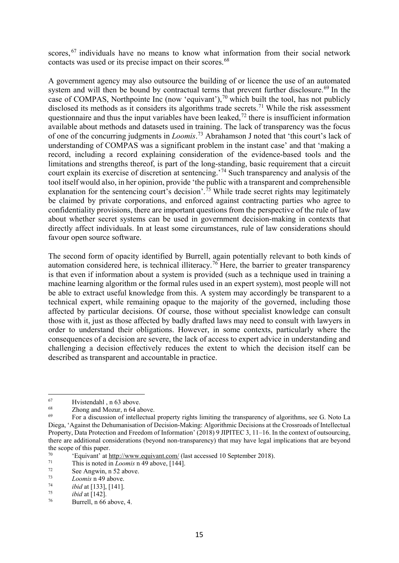scores, <sup>[67](#page-14-0)</sup> individuals have no means to know what information from their social network contacts was used or its precise impact on their scores.<sup>[68](#page-14-1)</sup>

A government agency may also outsource the building of or licence the use of an automated system and will then be bound by contractual terms that prevent further disclosure.<sup>[69](#page-14-2)</sup> In the case of COMPAS, Northpointe Inc (now 'equivant'),<sup>[70](#page-14-3)</sup> which built the tool, has not publicly disclosed its methods as it considers its algorithms trade secrets.<sup>[71](#page-14-4)</sup> While the risk assessment questionnaire and thus the input variables have been leaked,  $\frac{72}{1}$  $\frac{72}{1}$  $\frac{72}{1}$  there is insufficient information available about methods and datasets used in training. The lack of transparency was the focus of one of the concurring judgments in *Loomis*. [73](#page-14-6) Abrahamson J noted that 'this court's lack of understanding of COMPAS was a significant problem in the instant case' and that 'making a record, including a record explaining consideration of the evidence-based tools and the limitations and strengths thereof, is part of the long-standing, basic requirement that a circuit court explain its exercise of discretion at sentencing.'[74](#page-14-7) Such transparency and analysis of the tool itself would also, in her opinion, provide 'the public with a transparent and comprehensible explanation for the sentencing court's decision'.<sup>[75](#page-14-8)</sup> While trade secret rights may legitimately be claimed by private corporations, and enforced against contracting parties who agree to confidentiality provisions, there are important questions from the perspective of the rule of law about whether secret systems can be used in government decision-making in contexts that directly affect individuals. In at least some circumstances, rule of law considerations should favour open source software.

The second form of opacity identified by Burrell, again potentially relevant to both kinds of automation considered here, is technical illiteracy.<sup>[76](#page-14-9)</sup> Here, the barrier to greater transparency is that even if information about a system is provided (such as a technique used in training a machine learning algorithm or the formal rules used in an expert system), most people will not be able to extract useful knowledge from this. A system may accordingly be transparent to a technical expert, while remaining opaque to the majority of the governed, including those affected by particular decisions. Of course, those without specialist knowledge can consult those with it, just as those affected by badly drafted laws may need to consult with lawyers in order to understand their obligations. However, in some contexts, particularly where the consequences of a decision are severe, the lack of access to expert advice in understanding and challenging a decision effectively reduces the extent to which the decision itself can be described as transparent and accountable in practice.

<span id="page-14-0"></span> $\frac{67}{68}$  Hvistendahl, [n 63](#page-13-4) above.

<span id="page-14-1"></span> $^{68}$  Zhong and Mozur, n [64](#page-13-5) above.

<span id="page-14-2"></span>For a discussion of intellectual property rights limiting the transparency of algorithms, see G. Noto La Diega, 'Against the Dehumanisation of Decision-Making: Algorithmic Decisions at the Crossroads of Intellectual Property, Data Protection and Freedom of Information' (2018) 9 JIPITEC 3, 11–16. In the context of outsourcing, there are additional considerations (beyond non-transparency) that may have legal implications that are beyond the scope of this paper.<br> $\frac{70}{70}$   $\frac{1}{2}$   $\frac{1}{2}$ 

<span id="page-14-3"></span><sup>70</sup> 'Equivant' at http://www.equivant.com/ (last accessed 10 September 2018). 71 This is noted in *Loomis* n [49](#page-10-10) above, [144].

<span id="page-14-4"></span>

<span id="page-14-5"></span><sup>72</sup> See Angwin, n 52 above.<br>  $\frac{73}{74}$  *Loomis* n [49](#page-10-10) above.

<span id="page-14-6"></span>

<span id="page-14-7"></span><sup>74</sup> *ibid* at [133], [141].

<span id="page-14-8"></span> $^{75}$  *ibid* at [142].

<span id="page-14-9"></span>Burrell, n 66 above, 4.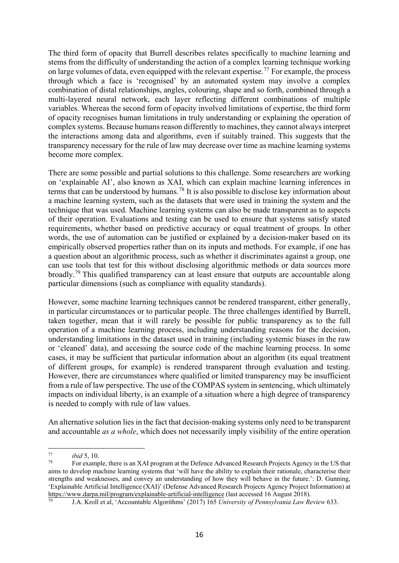The third form of opacity that Burrell describes relates specifically to machine learning and stems from the difficulty of understanding the action of a complex learning technique working on large volumes of data, even equipped with the relevant expertise.<sup>[77](#page-15-0)</sup> For example, the process through which a face is 'recognised' by an automated system may involve a complex combination of distal relationships, angles, colouring, shape and so forth, combined through a multi-layered neural network, each layer reflecting different combinations of multiple variables. Whereas the second form of opacity involved limitations of expertise, the third form of opacity recognises human limitations in truly understanding or explaining the operation of complex systems. Because humans reason differently to machines, they cannot always interpret the interactions among data and algorithms, even if suitably trained. This suggests that the transparency necessary for the rule of law may decrease over time as machine learning systems become more complex.

There are some possible and partial solutions to this challenge. Some researchers are working on 'explainable AI', also known as XAI, which can explain machine learning inferences in terms that can be understood by humans.<sup>[78](#page-15-1)</sup> It is also possible to disclose key information about a machine learning system, such as the datasets that were used in training the system and the technique that was used. Machine learning systems can also be made transparent as to aspects of their operation. Evaluations and testing can be used to ensure that systems satisfy stated requirements, whether based on predictive accuracy or equal treatment of groups. In other words, the use of automation can be justified or explained by a decision-maker based on its empirically observed properties rather than on its inputs and methods. For example, if one has a question about an algorithmic process, such as whether it discriminates against a group, one can use tools that test for this without disclosing algorithmic methods or data sources more broadly.<sup>[79](#page-15-2)</sup> This qualified transparency can at least ensure that outputs are accountable along particular dimensions (such as compliance with equality standards).

<span id="page-15-3"></span>However, some machine learning techniques cannot be rendered transparent, either generally, in particular circumstances or to particular people. The three challenges identified by Burrell, taken together, mean that it will rarely be possible for public transparency as to the full operation of a machine learning process, including understanding reasons for the decision, understanding limitations in the dataset used in training (including systemic biases in the raw or 'cleaned' data), and accessing the source code of the machine learning process. In some cases, it may be sufficient that particular information about an algorithm (its equal treatment of different groups, for example) is rendered transparent through evaluation and testing. However, there are circumstances where qualified or limited transparency may be insufficient from a rule of law perspective. The use of the COMPAS system in sentencing, which ultimately impacts on individual liberty, is an example of a situation where a high degree of transparency is needed to comply with rule of law values.

An alternative solution lies in the fact that decision-making systems only need to be transparent and accountable *as a whole*, which does not necessarily imply visibility of the entire operation

<span id="page-15-1"></span><sup>78</sup> For example, there is an XAI program at the Defence Advanced Research Projects Agency in the US that aims to develop machine learning systems that 'will have the ability to explain their rationale, characterise their strengths and weaknesses, and convey an understanding of how they will behave in the future.': D. Gunning, 'Explainable Artificial Intelligence (XAI)' (Defense Advanced Research Projects Agency Project Information) at https://www.darpa.mil/program/explainable-artificial-intelligence (last accessed 16 August 2018).

<span id="page-15-0"></span> <sup>77</sup> *ibid* 5, 10.

<span id="page-15-2"></span><sup>79</sup> J.A. Kroll et al, 'Accountable Algorithms' (2017) 165 *University of Pennsylvania Law Review* 633.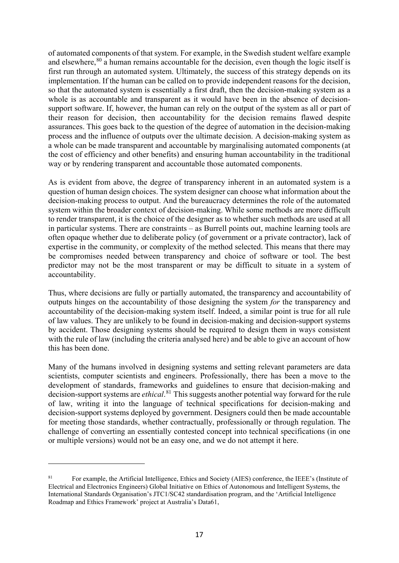of automated components of that system. For example, in the Swedish student welfare example and elsewhere, $80$  a human remains accountable for the decision, even though the logic itself is first run through an automated system. Ultimately, the success of this strategy depends on its implementation. If the human can be called on to provide independent reasons for the decision, so that the automated system is essentially a first draft, then the decision-making system as a whole is as accountable and transparent as it would have been in the absence of decisionsupport software. If, however, the human can rely on the output of the system as all or part of their reason for decision, then accountability for the decision remains flawed despite assurances. This goes back to the question of the degree of automation in the decision-making process and the influence of outputs over the ultimate decision. A decision-making system as a whole can be made transparent and accountable by marginalising automated components (at the cost of efficiency and other benefits) and ensuring human accountability in the traditional way or by rendering transparent and accountable those automated components.

As is evident from above, the degree of transparency inherent in an automated system is a question of human design choices. The system designer can choose what information about the decision-making process to output. And the bureaucracy determines the role of the automated system within the broader context of decision-making. While some methods are more difficult to render transparent, it is the choice of the designer as to whether such methods are used at all in particular systems. There are constraints – as Burrell points out, machine learning tools are often opaque whether due to deliberate policy (of government or a private contractor), lack of expertise in the community, or complexity of the method selected. This means that there may be compromises needed between transparency and choice of software or tool. The best predictor may not be the most transparent or may be difficult to situate in a system of accountability.

Thus, where decisions are fully or partially automated, the transparency and accountability of outputs hinges on the accountability of those designing the system *for* the transparency and accountability of the decision-making system itself. Indeed, a similar point is true for all rule of law values. They are unlikely to be found in decision-making and decision-support systems by accident. Those designing systems should be required to design them in ways consistent with the rule of law (including the criteria analysed here) and be able to give an account of how this has been done.

Many of the humans involved in designing systems and setting relevant parameters are data scientists, computer scientists and engineers. Professionally, there has been a move to the development of standards, frameworks and guidelines to ensure that decision-making and decision-support systems are *ethical*. [81](#page-16-1) This suggests another potential way forward for the rule of law, writing it into the language of technical specifications for decision-making and decision-support systems deployed by government. Designers could then be made accountable for meeting those standards, whether contractually, professionally or through regulation. The challenge of converting an essentially contested concept into technical specifications (in one or multiple versions) would not be an easy one, and we do not attempt it here.

-

<span id="page-16-1"></span><span id="page-16-0"></span><sup>81</sup> For example, the Artificial Intelligence, Ethics and Society (AIES) conference, the IEEE's (Institute of Electrical and Electronics Engineers) Global Initiative on Ethics of Autonomous and Intelligent Systems, the International Standards Organisation's JTC1/SC42 standardisation program, and the 'Artificial Intelligence Roadmap and Ethics Framework' project at Australia's Data61,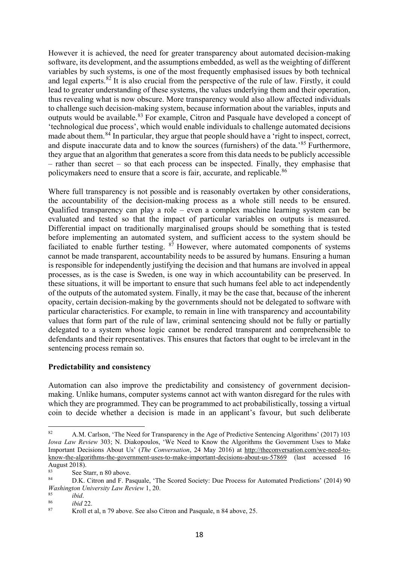However it is achieved, the need for greater transparency about automated decision-making software, its development, and the assumptions embedded, as well as the weighting of different variables by such systems, is one of the most frequently emphasised issues by both technical and legal experts.<sup>[82](#page-17-0)</sup> It is also crucial from the perspective of the rule of law. Firstly, it could lead to greater understanding of these systems, the values underlying them and their operation, thus revealing what is now obscure. More transparency would also allow affected individuals to challenge such decision-making system, because information about the variables, inputs and outputs would be available.<sup>[83](#page-17-1)</sup> For example, Citron and Pasquale have developed a concept of 'technological due process', which would enable individuals to challenge automated decisions made about them.<sup>[84](#page-17-2)</sup> In particular, they argue that people should have a 'right to inspect, correct, and dispute inaccurate data and to know the sources (furnishers) of the data.'[85](#page-17-3) Furthermore, they argue that an algorithm that generates a score from this data needs to be publicly accessible – rather than secret – so that each process can be inspected. Finally, they emphasise that policymakers need to ensure that a score is fair, accurate, and replicable.<sup>[86](#page-17-4)</sup>

Where full transparency is not possible and is reasonably overtaken by other considerations, the accountability of the decision-making process as a whole still needs to be ensured. Qualified transparency can play a role – even a complex machine learning system can be evaluated and tested so that the impact of particular variables on outputs is measured. Differential impact on traditionally marginalised groups should be something that is tested before implementing an automated system, and sufficient access to the system should be faciliated to enable further testing.  $8^7$  However, where automated components of systems cannot be made transparent, accountability needs to be assured by humans. Ensuring a human is responsible for independently justifying the decision and that humans are involved in appeal processes, as is the case is Sweden, is one way in which accountability can be preserved. In these situations, it will be important to ensure that such humans feel able to act independently of the outputs of the automated system. Finally, it may be the case that, because of the inherent opacity, certain decision-making by the governments should not be delegated to software with particular characteristics. For example, to remain in line with transparency and accountability values that form part of the rule of law, criminal sentencing should not be fully or partially delegated to a system whose logic cannot be rendered transparent and comprehensible to defendants and their representatives. This ensures that factors that ought to be irrelevant in the sentencing process remain so.

## **Predictability and consistency**

Automation can also improve the predictability and consistency of government decisionmaking. Unlike humans, computer systems cannot act with wanton disregard for the rules with which they are programmed. They can be programmed to act probabilistically, tossing a virtual coin to decide whether a decision is made in an applicant's favour, but such deliberate

<span id="page-17-0"></span><sup>&</sup>lt;sup>82</sup> A.M. Carlson, 'The Need for Transparency in the Age of Predictive Sentencing Algorithms' (2017) 103 *Iowa Law Review* 303; N. Diakopoulos, 'We Need to Know the Algorithms the Government Uses to Make Important Decisions About Us' (*The Conversation*, 24 May 2016) at http://theconversation.com/we-need-toknow-the-algorithms-the-government-uses-to-make-important-decisions-about-us-57869 (last accessed 16 August 2018).

<span id="page-17-1"></span><sup>&</sup>lt;sup>83</sup> See Starr, n 80 above.<br><sup>84</sup> DK Citron and E Pa

<span id="page-17-2"></span><sup>84</sup> D.K. Citron and F. Pasquale, 'The Scored Society: Due Process for Automated Predictions' (2014) 90 *Washington University Law Review* 1, 20.

<span id="page-17-3"></span> $\begin{array}{cc}\n 85 \quad \text{ibid.} \\
 86 \quad \text{ibid.}\n \end{array}$ 

<span id="page-17-4"></span> $\frac{86}{87}$  *ibid* 22.

<span id="page-17-5"></span>Kroll et al, n [79](#page-15-3) above. See also Citron and Pasquale, n 84 above, 25.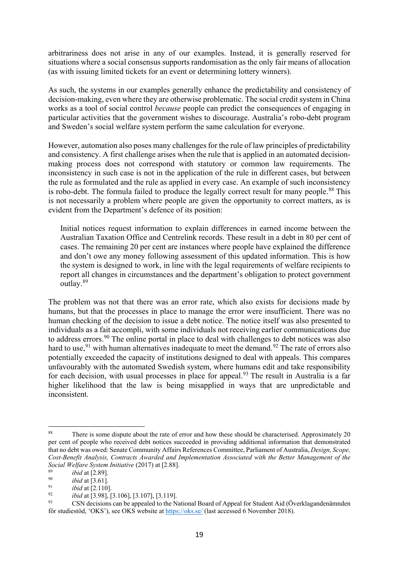arbitrariness does not arise in any of our examples. Instead, it is generally reserved for situations where a social consensus supports randomisation as the only fair means of allocation (as with issuing limited tickets for an event or determining lottery winners).

As such, the systems in our examples generally enhance the predictability and consistency of decision-making, even where they are otherwise problematic. The social credit system in China works as a tool of social control *because* people can predict the consequences of engaging in particular activities that the government wishes to discourage. Australia's robo-debt program and Sweden's social welfare system perform the same calculation for everyone.

However, automation also poses many challenges for the rule of law principles of predictability and consistency. A first challenge arises when the rule that is applied in an automated decisionmaking process does not correspond with statutory or common law requirements. The inconsistency in such case is not in the application of the rule in different cases, but between the rule as formulated and the rule as applied in every case. An example of such inconsistency is robo-debt. The formula failed to produce the legally correct result for many people.<sup>[88](#page-18-0)</sup> This is not necessarily a problem where people are given the opportunity to correct matters, as is evident from the Department's defence of its position:

Initial notices request information to explain differences in earned income between the Australian Taxation Office and Centrelink records. These result in a debt in 80 per cent of cases. The remaining 20 per cent are instances where people have explained the difference and don't owe any money following assessment of this updated information. This is how the system is designed to work, in line with the legal requirements of welfare recipients to report all changes in circumstances and the department's obligation to protect government outlay.[89](#page-18-1)

The problem was not that there was an error rate, which also exists for decisions made by humans, but that the processes in place to manage the error were insufficient. There was no human checking of the decision to issue a debt notice. The notice itself was also presented to individuals as a fait accompli, with some individuals not receiving earlier communications due to address errors.<sup>[90](#page-18-2)</sup> The online portal in place to deal with challenges to debt notices was also hard to use,  $91$  with human alternatives inadequate to meet the demand.  $92$  The rate of errors also potentially exceeded the capacity of institutions designed to deal with appeals. This compares unfavourably with the automated Swedish system, where humans edit and take responsibility for each decision, with usual processes in place for appeal.<sup>[93](#page-18-5)</sup> The result in Australia is a far higher likelihood that the law is being misapplied in ways that are unpredictable and inconsistent.

<span id="page-18-0"></span><sup>&</sup>lt;sup>88</sup> There is some dispute about the rate of error and how these should be characterised. Approximately 20 per cent of people who received debt notices succeeded in providing additional information that demonstrated that no debt was owed: Senate Community Affairs References Committee, Parliament of Australia, *Design, Scope, Cost-Benefit Analysis, Contracts Awarded and Implementation Associated with the Better Management of the Social Welfare System Initiative* (2017) at [2.88].

<span id="page-18-1"></span> $\frac{89}{90}$  *ibid* at [2.89].

<span id="page-18-2"></span><sup>&</sup>lt;sup>90</sup> *ibid* at [3.61].

<span id="page-18-3"></span><sup>&</sup>lt;sup>91</sup> *ibid* at [2.110].<br><sup>92</sup> *ibid* at [3.08]

<span id="page-18-4"></span><sup>92</sup> *ibid* at [3.98], [3.106], [3.107], [3.119].

<span id="page-18-5"></span>CSN decisions can be appealed to the National Board of Appeal for Student Aid (Överklagandenämnden för studiestöd, 'OKS'), see OKS website at<https://oks.se/> (last accessed 6 November 2018).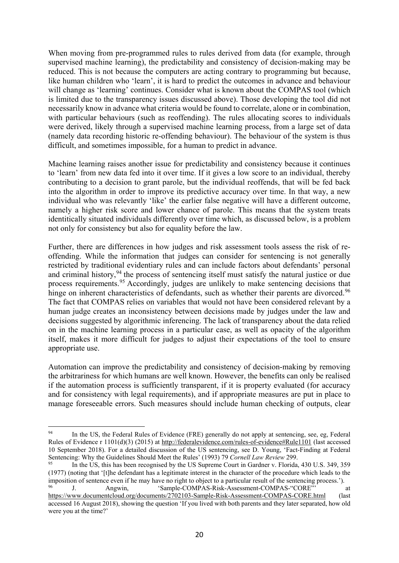When moving from pre-programmed rules to rules derived from data (for example, through supervised machine learning), the predictability and consistency of decision-making may be reduced. This is not because the computers are acting contrary to programming but because, like human children who 'learn', it is hard to predict the outcomes in advance and behaviour will change as 'learning' continues. Consider what is known about the COMPAS tool (which is limited due to the transparency issues discussed above). Those developing the tool did not necessarily know in advance what criteria would be found to correlate, alone or in combination, with particular behaviours (such as reoffending). The rules allocating scores to individuals were derived, likely through a supervised machine learning process, from a large set of data (namely data recording historic re-offending behaviour). The behaviour of the system is thus difficult, and sometimes impossible, for a human to predict in advance.

Machine learning raises another issue for predictability and consistency because it continues to 'learn' from new data fed into it over time. If it gives a low score to an individual, thereby contributing to a decision to grant parole, but the individual reoffends, that will be fed back into the algorithm in order to improve its predictive accuracy over time. In that way, a new individual who was relevantly 'like' the earlier false negative will have a different outcome, namely a higher risk score and lower chance of parole. This means that the system treats identitically situated individuals differently over time which, as discussed below, is a problem not only for consistency but also for equality before the law.

<span id="page-19-3"></span>Further, there are differences in how judges and risk assessment tools assess the risk of reoffending. While the information that judges can consider for sentencing is not generally restricted by traditional evidentiary rules and can include factors about defendants' personal and criminal history,<sup>[94](#page-19-0)</sup> the process of sentencing itself must satisfy the natural justice or due process requirements.[95](#page-19-1) Accordingly, judges are unlikely to make sentencing decisions that hinge on inherent characteristics of defendants, such as whether their parents are divorced.<sup>[96](#page-19-2)</sup> The fact that COMPAS relies on variables that would not have been considered relevant by a human judge creates an inconsistency between decisions made by judges under the law and decisions suggested by algorithmic inferencing. The lack of transparency about the data relied on in the machine learning process in a particular case, as well as opacity of the algorithm itself, makes it more difficult for judges to adjust their expectations of the tool to ensure appropriate use.

Automation can improve the predictability and consistency of decision-making by removing the arbitrariness for which humans are well known. However, the benefits can only be realised if the automation process is sufficiently transparent, if it is property evaluated (for accuracy and for consistency with legal requirements), and if appropriate measures are put in place to manage foreseeable errors. Such measures should include human checking of outputs, clear

<span id="page-19-0"></span><sup>&</sup>lt;sup>94</sup> In the US, the Federal Rules of Evidence (FRE) generally do not apply at sentencing, see, eg, Federal Rules of Evidence r 1101(d)(3) (2015) at http://federalevidence.com/rules-of-evidence#Rule1101 (last accessed 10 September 2018). For a detailed discussion of the US sentencing, see D. Young, 'Fact-Finding at Federal Sentencing: Why the Guidelines Should Meet the Rules' (1993) 79 *Cornell Law Review* 299.

<span id="page-19-1"></span><sup>95</sup> In the US, this has been recognised by the US Supreme Court in Gardner v. Florida, 430 U.S. 349, 359 (1977) (noting that '[t]he defendant has a legitimate interest in the character of the procedure which leads to the imposition of sentence even if he may have no right to object to a particular result of the sentencing process.'). J. Angwin, 'Sample-COMPAS-Risk-Assessment-COMPAS-"CORE" at

<span id="page-19-2"></span>https://www.documentcloud.org/documents/2702103-Sample-Risk-Assessment-COMPAS-CORE.html (last accessed 16 August 2018), showing the question 'If you lived with both parents and they later separated, how old were you at the time?'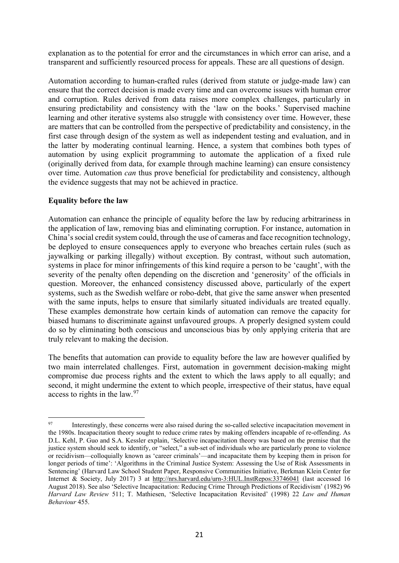explanation as to the potential for error and the circumstances in which error can arise, and a transparent and sufficiently resourced process for appeals. These are all questions of design.

Automation according to human-crafted rules (derived from statute or judge-made law) can ensure that the correct decision is made every time and can overcome issues with human error and corruption. Rules derived from data raises more complex challenges, particularly in ensuring predictability and consistency with the 'law on the books.' Supervised machine learning and other iterative systems also struggle with consistency over time. However, these are matters that can be controlled from the perspective of predictability and consistency, in the first case through design of the system as well as independent testing and evaluation, and in the latter by moderating continual learning. Hence, a system that combines both types of automation by using explicit programming to automate the application of a fixed rule (originally derived from data, for example through machine learning) can ensure consistency over time. Automation *can* thus prove beneficial for predictability and consistency, although the evidence suggests that may not be achieved in practice.

## **Equality before the law**

Automation can enhance the principle of equality before the law by reducing arbitrariness in the application of law, removing bias and eliminating corruption. For instance, automation in China's social credit system could, through the use of cameras and face recognition technology, be deployed to ensure consequences apply to everyone who breaches certain rules (such as jaywalking or parking illegally) without exception. By contrast, without such automation, systems in place for minor infringements of this kind require a person to be 'caught', with the severity of the penalty often depending on the discretion and 'generosity' of the officials in question. Moreover, the enhanced consistency discussed above, particularly of the expert systems, such as the Swedish welfare or robo-debt, that give the same answer when presented with the same inputs, helps to ensure that similarly situated individuals are treated equally. These examples demonstrate how certain kinds of automation can remove the capacity for biased humans to discriminate against unfavoured groups. A properly designed system could do so by eliminating both conscious and unconscious bias by only applying criteria that are truly relevant to making the decision.

The benefits that automation can provide to equality before the law are however qualified by two main interrelated challenges. First, automation in government decision-making might compromise due process rights and the extent to which the laws apply to all equally; and second, it might undermine the extent to which people, irrespective of their status, have equal access to rights in the law. [97](#page-20-0)

<span id="page-20-1"></span><span id="page-20-0"></span><sup>&</sup>lt;sup>97</sup> Interestingly, these concerns were also raised during the so-called selective incapacitation movement in the 1980s. Incapacitation theory sought to reduce crime rates by making offenders incapable of re-offending. As D.L. Kehl, P. Guo and S.A. Kessler explain, 'Selective incapacitation theory was based on the premise that the justice system should seek to identify, or "select," a sub-set of individuals who are particularly prone to violence or recidivism—colloquially known as 'career criminals'—and incapacitate them by keeping them in prison for longer periods of time': 'Algorithms in the Criminal Justice System: Assessing the Use of Risk Assessments in Sentencing' (Harvard Law School Student Paper, Responsive Communities Initiative, Berkman Klein Center for Internet & Society, July 2017) 3 at <http://nrs.harvard.edu/urn-3:HUL.InstRepos:33746041> (last accessed 16 August 2018). See also 'Selective Incapacitation: Reducing Crime Through Predictions of Recidivism' (1982) 96 *Harvard Law Review* 511; T. Mathiesen, 'Selective Incapacitation Revisited' (1998) 22 *Law and Human Behaviour* 455.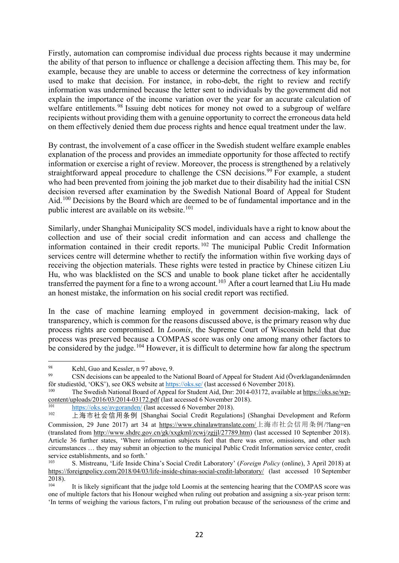Firstly, automation can compromise individual due process rights because it may undermine the ability of that person to influence or challenge a decision affecting them. This may be, for example, because they are unable to access or determine the correctness of key information used to make that decision. For instance, in robo-debt, the right to review and rectify information was undermined because the letter sent to individuals by the government did not explain the importance of the income variation over the year for an accurate calculation of welfare entitlements.<sup>[98](#page-21-0)</sup> Issuing debt notices for money not owed to a subgroup of welfare recipients without providing them with a genuine opportunity to correct the erroneous data held on them effectively denied them due process rights and hence equal treatment under the law.

By contrast, the involvement of a case officer in the Swedish student welfare example enables explanation of the process and provides an immediate opportunity for those affected to rectify information or exercise a right of review. Moreover, the process is strengthened by a relatively straightforward appeal procedure to challenge the CSN decisions.<sup>[99](#page-21-1)</sup> For example, a student who had been prevented from joining the job market due to their disability had the initial CSN decision reversed after examination by the Swedish National Board of Appeal for Student Aid.[100](#page-21-2) Decisions by the Board which are deemed to be of fundamental importance and in the public interest are available on its website.<sup>[101](#page-21-3)</sup>

Similarly, under Shanghai Municipality SCS model, individuals have a right to know about the collection and use of their social credit information and can access and challenge the information contained in their credit reports. [102](#page-21-4) The municipal Public Credit Information services centre will determine whether to rectify the information within five working days of receiving the objection materials. These rights were tested in practice by Chinese citizen Liu Hu, who was blacklisted on the SCS and unable to book plane ticket after he accidentally transferred the payment for a fine to a wrong account.[103](#page-21-5) After a court learned that Liu Hu made an honest mistake, the information on his social credit report was rectified.

In the case of machine learning employed in government decision-making, lack of transparency, which is common for the reasons discussed above, is the primary reason why due process rights are compromised. In *Loomis*, the Supreme Court of Wisconsin held that due process was preserved because a COMPAS score was only one among many other factors to be considered by the judge.<sup>[104](#page-21-6)</sup> However, it is difficult to determine how far along the spectrum

<span id="page-21-0"></span><sup>&</sup>lt;sup>98</sup> Kehl, Guo and Kessler, n [97](#page-20-1) above, 9.<br> $\frac{99}{2}$  CSN decisions can be appealed to the N

<span id="page-21-1"></span>CSN decisions can be appealed to the National Board of Appeal for Student Aid (Överklagandenämnden för studiestöd, 'OKS'), see OKS website at<https://oks.se/> (last accessed 6 November 2018).

<span id="page-21-2"></span><sup>100</sup> The Swedish National Board of Appeal for Student Aid, Dnr: 2014-03172, available a[t https://oks.se/wp](https://oks.se/wp-content/uploads/2016/03/2014-03172.pdf)content/uploads/2016/03/2014-03172.pdf (last accessed 6 November 2018).<br>
101 https://oks.se/avgoranden/ (last accessed 6 November 2018).<br>
102 上海市社会信用条例 [Shanghai Social Credit Regulations] (Shanghai Development and Reform

<span id="page-21-4"></span><span id="page-21-3"></span>Commission, 29 June 2017) art 34 at https://www.chinalawtranslate.com/上海市社会信用条例/?lang=en (translated from http://www.shdrc.gov.cn/gk/xxgkml/zcwj/zgjjl/27789.htm) (last accessed 10 September 2018). Article 36 further states, 'Where information subjects feel that there was error, omissions, and other such circumstances … they may submit an objection to the municipal Public Credit Information service center, credit service establishments, and so forth.'<br><sup>103</sup> S. Mistropul, 'Life Inside C.

<span id="page-21-5"></span><sup>103</sup> S. Mistreanu, 'Life Inside China's Social Credit Laboratory' (*Foreign Policy* (online), 3 April 2018) at https://foreignpolicy.com/2018/04/03/life-inside-chinas-social-credit-laboratory/ (last accessed 10 September  $2018$ ).

<span id="page-21-6"></span>It is likely significant that the judge told Loomis at the sentencing hearing that the COMPAS score was one of multiple factors that his Honour weighed when ruling out probation and assigning a six-year prison term: 'In terms of weighing the various factors, I'm ruling out probation because of the seriousness of the crime and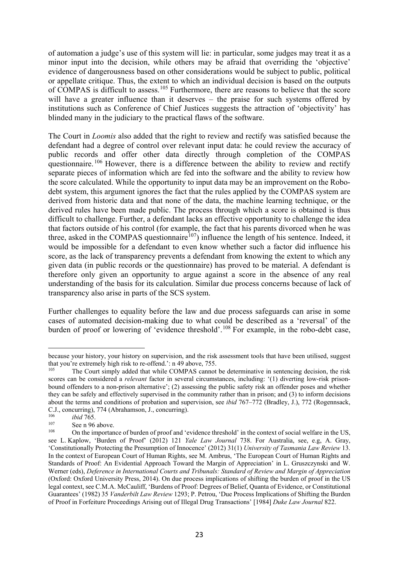of automation a judge's use of this system will lie: in particular, some judges may treat it as a minor input into the decision, while others may be afraid that overriding the 'objective' evidence of dangerousness based on other considerations would be subject to public, political or appellate critique. Thus, the extent to which an individual decision is based on the outputs of COMPAS is difficult to assess.<sup>[105](#page-22-0)</sup> Furthermore, there are reasons to believe that the score will have a greater influence than it deserves – the praise for such systems offered by institutions such as Conference of Chief Justices suggests the attraction of 'objectivity' has blinded many in the judiciary to the practical flaws of the software.

The Court in *Loomis* also added that the right to review and rectify was satisfied because the defendant had a degree of control over relevant input data: he could review the accuracy of public records and offer other data directly through completion of the COMPAS questionnaire. <sup>[106](#page-22-1)</sup> However, there is a difference between the ability to review and rectify separate pieces of information which are fed into the software and the ability to review how the score calculated. While the opportunity to input data may be an improvement on the Robodebt system, this argument ignores the fact that the rules applied by the COMPAS system are derived from historic data and that none of the data, the machine learning technique, or the derived rules have been made public. The process through which a score is obtained is thus difficult to challenge. Further, a defendant lacks an effective opportunity to challenge the idea that factors outside of his control (for example, the fact that his parents divorced when he was three, asked in the COMPAS questionnaire<sup>[107](#page-22-2)</sup>) influence the length of his sentence. Indeed, it would be impossible for a defendant to even know whether such a factor did influence his score, as the lack of transparency prevents a defendant from knowing the extent to which any given data (in public records or the questionnaire) has proved to be material. A defendant is therefore only given an opportunity to argue against a score in the absence of any real understanding of the basis for its calculation. Similar due process concerns because of lack of transparency also arise in parts of the SCS system.

Further challenges to equality before the law and due process safeguards can arise in some cases of automated decision-making due to what could be described as a 'reversal' of the burden of proof or lowering of 'evidence threshold'.<sup>[108](#page-22-3)</sup> For example, in the robo-debt case,

because your history, your history on supervision, and the risk assessment tools that have been utilised, suggest that you're extremely high risk to re-offend.': n [49](#page-10-10) above, 755.

<span id="page-22-0"></span>The Court simply added that while COMPAS cannot be determinative in sentencing decision, the risk scores can be considered a *relevant* factor in several circumstances, including: '(1) diverting low-risk prisonbound offenders to a non-prison alternative'; (2) assessing the public safety risk an offender poses and whether they can be safely and effectively supervised in the community rather than in prison; and (3) to inform decisions about the terms and conditions of probation and supervision, see *ibid* 767–772 (Bradley, J.), 772 (Rogennsack, C.J., concurring), 774 (Abrahamson, J., concurring).

<span id="page-22-2"></span><span id="page-22-1"></span> $^{106}$  *ibid* 765.<br><sup>107</sup> See n 96 above.

<span id="page-22-3"></span><sup>&</sup>lt;sup>108</sup> On the importance of burden of proof and 'evidence threshold' in the context of social welfare in the US, see L. Kaplow, 'Burden of Proof' (2012) 121 *Yale Law Journal* 738. For Australia, see, e.g, A. Gray, 'Constitutionally Protecting the Presumption of Innocence' (2012) 31(1) *University of Tasmania Law Review* 13. In the context of European Court of Human Rights, see M. Ambrus, 'The European Court of Human Rights and Standards of Proof: An Evidential Approach Toward the Margin of Appreciation' in L. Gruszczynski and W. Werner (eds), *[Deference in International Courts and Tribunals: Standard of Review and Margin of Appreciation](http://www.oxfordscholarship.com/view/10.1093/acprof:oso/9780198716945.001.0001/acprof-9780198716945)* (Oxford: Oxford University Press, 2014). On due process implications of shifting the burden of proof in the US legal context, see C.M.A. McCauliff, 'Burdens of Proof: Degrees of Belief, Quanta of Evidence, or Constitutional Guarantees' (1982) 35 *Vanderbilt Law Review* 1293; P. Petrou, 'Due Process Implications of Shifting the Burden of Proof in Forfeiture Proceedings Arising out of Illegal Drug Transactions' [1984] *Duke Law Journal* 822.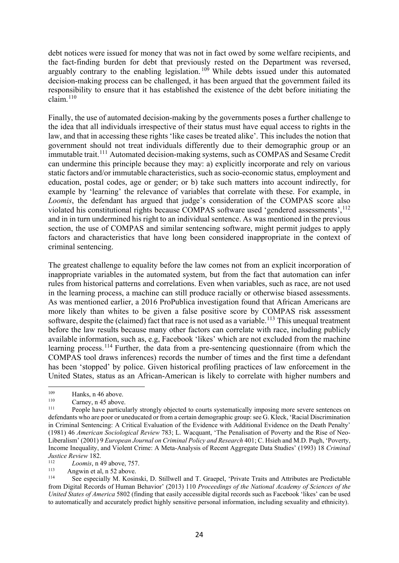debt notices were issued for money that was not in fact owed by some welfare recipients, and the fact-finding burden for debt that previously rested on the Department was reversed, arguably contrary to the enabling legislation.<sup>[109](#page-23-0)</sup> While debts issued under this automated decision-making process can be challenged, it has been argued that the government failed its responsibility to ensure that it has established the existence of the debt before initiating the  $claim.<sup>110</sup>$  $claim.<sup>110</sup>$  $claim.<sup>110</sup>$ 

Finally, the use of automated decision-making by the governments poses a further challenge to the idea that all individuals irrespective of their status must have equal access to rights in the law, and that in accessing these rights 'like cases be treated alike'. This includes the notion that government should not treat individuals differently due to their demographic group or an immutable trait.<sup>[111](#page-23-2)</sup> Automated decision-making systems, such as COMPAS and Sesame Credit can undermine this principle because they may: a) explicitly incorporate and rely on various static factors and/or immutable characteristics, such as socio-economic status, employment and education, postal codes, age or gender; or b) take such matters into account indirectly, for example by 'learning' the relevance of variables that correlate with these. For example, in *Loomis*, the defendant has argued that judge's consideration of the COMPAS score also violated his constitutional rights because COMPAS software used 'gendered assessments', <sup>[112](#page-23-3)</sup> and in in turn undermined his right to an individual sentence. As was mentioned in the previous section, the use of COMPAS and similar sentencing software, might permit judges to apply factors and characteristics that have long been considered inappropriate in the context of criminal sentencing.

The greatest challenge to equality before the law comes not from an explicit incorporation of inappropriate variables in the automated system, but from the fact that automation can infer rules from historical patterns and correlations. Even when variables, such as race, are not used in the learning process, a machine can still produce racially or otherwise biased assessments. As was mentioned earlier, a 2016 ProPublica investigation found that African Americans are more likely than whites to be given a false positive score by COMPAS risk assessment software, despite the (claimed) fact that race is not used as a variable.<sup>[113](#page-23-4)</sup> This unequal treatment before the law results because many other factors can correlate with race, including publicly available information, such as, e.g, Facebook 'likes' which are not excluded from the machine learning process.<sup>[114](#page-23-5)</sup> Further, the data from a pre-sentencing questionnaire (from which the COMPAS tool draws inferences) records the number of times and the first time a defendant has been 'stopped' by police. Given historical profiling practices of law enforcement in the United States, status as an African-American is likely to correlate with higher numbers and

<span id="page-23-6"></span><span id="page-23-0"></span> $109$  Hanks, n 46 above.

<span id="page-23-2"></span><span id="page-23-1"></span><sup>&</sup>lt;sup>110</sup> Carney, n 45 above.<br><sup>111</sup> People have particularly strongly objected to courts systematically imposing more severe sentences on defendants who are poor or uneducated or from a certain demographic group: see G. Kleck, 'Racial Discrimination in Criminal Sentencing: A Critical Evaluation of the Evidence with Additional Evidence on the Death Penalty' (1981) 46 *American Sociological Review* 783; L. Wacquant, 'The Penalisation of Poverty and the Rise of Neo-Liberalism' (2001) 9 *European Journal on Criminal Policy and Research* 401; C. Hsieh and M.D. Pugh, 'Poverty, Income Inequality, and Violent Crime: A Meta-Analysis of Recent Aggregate Data Studies' (1993) 18 *Criminal Justice Review* 182.

<span id="page-23-3"></span> $\frac{112}{113}$  *Loomis*, n [49](#page-10-10) above, 757.

<span id="page-23-4"></span><sup>&</sup>lt;sup>113</sup> Angwin et al, [n 52](#page-11-7) above.

<span id="page-23-5"></span>See especially M. Kosinski, D. Stillwell and T. Graepel, 'Private Traits and Attributes are Predictable from Digital Records of Human Behavior' (2013) 110 *Proceedings of the National Academy of Sciences of the United States of America* 5802 (finding that easily accessible digital records such as Facebook 'likes' can be used to automatically and accurately predict highly sensitive personal information, including sexuality and ethnicity).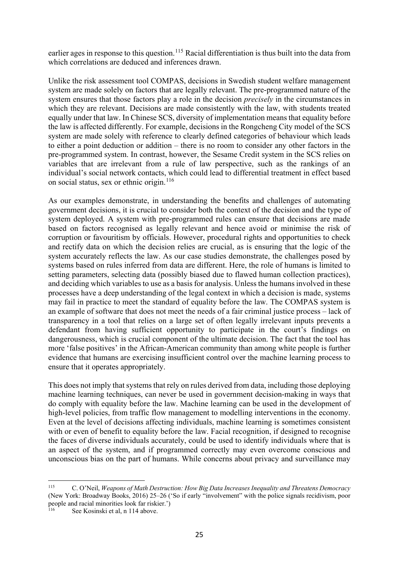earlier ages in response to this question.<sup>[115](#page-24-0)</sup> Racial differentiation is thus built into the data from which correlations are deduced and inferences drawn.

Unlike the risk assessment tool COMPAS, decisions in Swedish student welfare management system are made solely on factors that are legally relevant. The pre-programmed nature of the system ensures that those factors play a role in the decision *precisely* in the circumstances in which they are relevant. Decisions are made consistently with the law, with students treated equally under that law. In Chinese SCS, diversity of implementation means that equality before the law is affected differently. For example, decisions in the Rongcheng City model of the SCS system are made solely with reference to clearly defined categories of behaviour which leads to either a point deduction or addition – there is no room to consider any other factors in the pre-programmed system. In contrast, however, the Sesame Credit system in the SCS relies on variables that are irrelevant from a rule of law perspective, such as the rankings of an individual's social network contacts, which could lead to differential treatment in effect based on social status, sex or ethnic origin.<sup>[116](#page-24-1)</sup>

As our examples demonstrate, in understanding the benefits and challenges of automating government decisions, it is crucial to consider both the context of the decision and the type of system deployed. A system with pre-programmed rules can ensure that decisions are made based on factors recognised as legally relevant and hence avoid or minimise the risk of corruption or favouritism by officials. However, procedural rights and opportunities to check and rectify data on which the decision relies are crucial, as is ensuring that the logic of the system accurately reflects the law. As our case studies demonstrate, the challenges posed by systems based on rules inferred from data are different. Here, the role of humans is limited to setting parameters, selecting data (possibly biased due to flawed human collection practices), and deciding which variables to use as a basis for analysis. Unless the humans involved in these processes have a deep understanding of the legal context in which a decision is made, systems may fail in practice to meet the standard of equality before the law. The COMPAS system is an example of software that does not meet the needs of a fair criminal justice process – lack of transparency in a tool that relies on a large set of often legally irrelevant inputs prevents a defendant from having sufficient opportunity to participate in the court's findings on dangerousness, which is crucial component of the ultimate decision. The fact that the tool has more 'false positives' in the African-American community than among white people is further evidence that humans are exercising insufficient control over the machine learning process to ensure that it operates appropriately.

This does not imply that systems that rely on rules derived from data, including those deploying machine learning techniques, can never be used in government decision-making in ways that do comply with equality before the law. Machine learning can be used in the development of high-level policies, from traffic flow management to modelling interventions in the economy. Even at the level of decisions affecting individuals, machine learning is sometimes consistent with or even of benefit to equality before the law. Facial recognition, if designed to recognise the faces of diverse individuals accurately, could be used to identify individuals where that is an aspect of the system, and if programmed correctly may even overcome conscious and unconscious bias on the part of humans. While concerns about privacy and surveillance may

<span id="page-24-0"></span> <sup>115</sup> C. O'Neil, *Weapons of Math Destruction: How Big Data Increases Inequality and Threatens Democracy* (New York: Broadway Books, 2016) 25–26 ('So if early "involvement" with the police signals recidivism, poor people and racial minorities look far riskier.')

<span id="page-24-1"></span>See Kosinski et al, n [114](#page-23-6) above.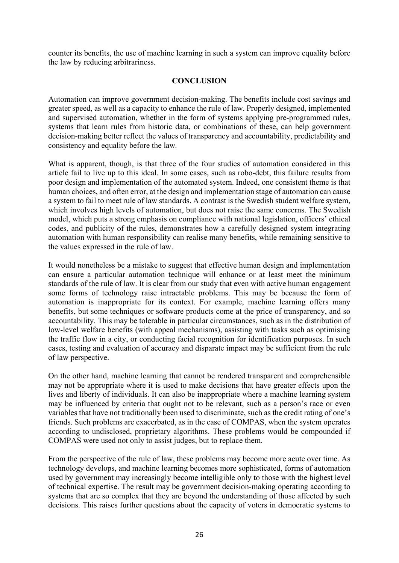counter its benefits, the use of machine learning in such a system can improve equality before the law by reducing arbitrariness.

# **CONCLUSION**

Automation can improve government decision-making. The benefits include cost savings and greater speed, as well as a capacity to enhance the rule of law. Properly designed, implemented and supervised automation, whether in the form of systems applying pre-programmed rules, systems that learn rules from historic data, or combinations of these, can help government decision-making better reflect the values of transparency and accountability, predictability and consistency and equality before the law*.*

What is apparent, though, is that three of the four studies of automation considered in this article fail to live up to this ideal. In some cases, such as robo-debt, this failure results from poor design and implementation of the automated system. Indeed, one consistent theme is that human choices, and often error, at the design and implementation stage of automation can cause a system to fail to meet rule of law standards. A contrast is the Swedish student welfare system, which involves high levels of automation, but does not raise the same concerns. The Swedish model, which puts a strong emphasis on compliance with national legislation, officers' ethical codes, and publicity of the rules, demonstrates how a carefully designed system integrating automation with human responsibility can realise many benefits, while remaining sensitive to the values expressed in the rule of law.

It would nonetheless be a mistake to suggest that effective human design and implementation can ensure a particular automation technique will enhance or at least meet the minimum standards of the rule of law. It is clear from our study that even with active human engagement some forms of technology raise intractable problems. This may be because the form of automation is inappropriate for its context. For example, machine learning offers many benefits, but some techniques or software products come at the price of transparency, and so accountability. This may be tolerable in particular circumstances, such as in the distribution of low-level welfare benefits (with appeal mechanisms), assisting with tasks such as optimising the traffic flow in a city, or conducting facial recognition for identification purposes. In such cases, testing and evaluation of accuracy and disparate impact may be sufficient from the rule of law perspective.

On the other hand, machine learning that cannot be rendered transparent and comprehensible may not be appropriate where it is used to make decisions that have greater effects upon the lives and liberty of individuals. It can also be inappropriate where a machine learning system may be influenced by criteria that ought not to be relevant, such as a person's race or even variables that have not traditionally been used to discriminate, such as the credit rating of one's friends. Such problems are exacerbated, as in the case of COMPAS, when the system operates according to undisclosed, proprietary algorithms. These problems would be compounded if COMPAS were used not only to assist judges, but to replace them.

From the perspective of the rule of law, these problems may become more acute over time. As technology develops, and machine learning becomes more sophisticated, forms of automation used by government may increasingly become intelligible only to those with the highest level of technical expertise. The result may be government decision-making operating according to systems that are so complex that they are beyond the understanding of those affected by such decisions. This raises further questions about the capacity of voters in democratic systems to